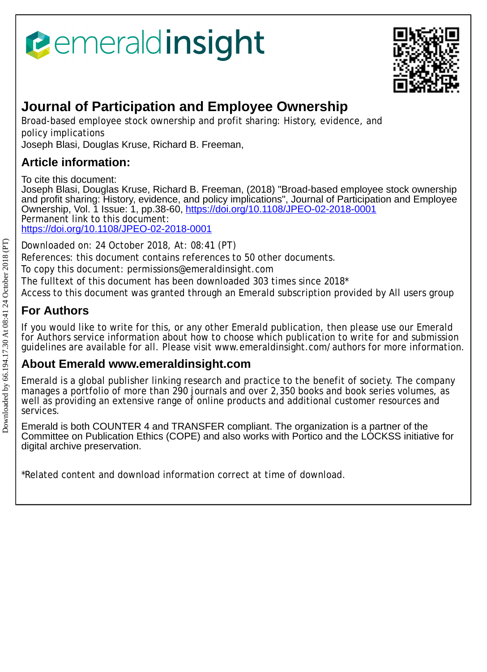# *<u><b>e*emeraldinsight</u>



## **Journal of Participation and Employee Ownership**

Broad-based employee stock ownership and profit sharing: History, evidence, and policy implications

Joseph Blasi, Douglas Kruse, Richard B. Freeman,

## **Article information:**

To cite this document:

Joseph Blasi, Douglas Kruse, Richard B. Freeman, (2018) "Broad-based employee stock ownership and profit sharing: History, evidence, and policy implications", Journal of Participation and Employee Ownership, Vol. 1 Issue: 1, pp.38-60,<https://doi.org/10.1108/JPEO-02-2018-0001> Permanent link to this document: <https://doi.org/10.1108/JPEO-02-2018-0001>

Downloaded on: 24 October 2018, At: 08:41 (PT)

References: this document contains references to 50 other documents.

To copy this document: permissions@emeraldinsight.com

The fulltext of this document has been downloaded 303 times since 2018\*

Access to this document was granted through an Emerald subscription provided by All users group

## **For Authors**

If you would like to write for this, or any other Emerald publication, then please use our Emerald for Authors service information about how to choose which publication to write for and submission guidelines are available for all. Please visit www.emeraldinsight.com/authors for more information.

### **About Emerald www.emeraldinsight.com**

Emerald is a global publisher linking research and practice to the benefit of society. The company manages a portfolio of more than 290 journals and over 2,350 books and book series volumes, as well as providing an extensive range of online products and additional customer resources and services.

Emerald is both COUNTER 4 and TRANSFER compliant. The organization is a partner of the Committee on Publication Ethics (COPE) and also works with Portico and the LOCKSS initiative for digital archive preservation.

\*Related content and download information correct at time of download.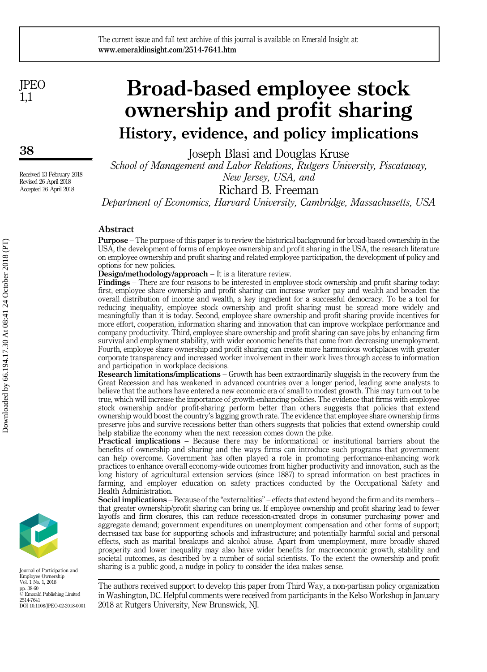JPEO 1,1

38

Received 13 February 2018 Revised 26 April 2018 Accepted 26 April 2018

# Broad-based employee stock ownership and profit sharing History, evidence, and policy implications

Joseph Blasi and Douglas Kruse

School of Management and Labor Relations, Rutgers University, Piscataway, New Jersey, USA, and

Richard B. Freeman

Department of Economics, Harvard University, Cambridge, Massachusetts, USA

#### Abstract

Purpose – The purpose of this paper is to review the historical background for broad-based ownership in the USA, the development of forms of employee ownership and profit sharing in the USA, the research literature on employee ownership and profit sharing and related employee participation, the development of policy and options for new policies.

Design/methodology/approach – It is a literature review.

Findings – There are four reasons to be interested in employee stock ownership and profit sharing today: first, employee share ownership and profit sharing can increase worker pay and wealth and broaden the overall distribution of income and wealth, a key ingredient for a successful democracy. To be a tool for reducing inequality, employee stock ownership and profit sharing must be spread more widely and meaningfully than it is today. Second, employee share ownership and profit sharing provide incentives for more effort, cooperation, information sharing and innovation that can improve workplace performance and company productivity. Third, employee share ownership and profit sharing can save jobs by enhancing firm survival and employment stability, with wider economic benefits that come from decreasing unemployment. Fourth, employee share ownership and profit sharing can create more harmonious workplaces with greater corporate transparency and increased worker involvement in their work lives through access to information and participation in workplace decisions.

Research limitations/implications – Growth has been extraordinarily sluggish in the recovery from the Great Recession and has weakened in advanced countries over a longer period, leading some analysts to believe that the authors have entered a new economic era of small to modest growth. This may turn out to be true, which will increase the importance of growth-enhancing policies. The evidence that firms with employee stock ownership and/or profit-sharing perform better than others suggests that policies that extend ownership would boost the country's lagging growth rate. The evidence that employee share ownership firms preserve jobs and survive recessions better than others suggests that policies that extend ownership could help stabilize the economy when the next recession comes down the pike.

Practical implications – Because there may be informational or institutional barriers about the benefits of ownership and sharing and the ways firms can introduce such programs that government can help overcome. Government has often played a role in promoting performance-enhancing work practices to enhance overall economy-wide outcomes from higher productivity and innovation, such as the long history of agricultural extension services (since 1887) to spread information on best practices in farming, and employer education on safety practices conducted by the Occupational Safety and Health Administration.

Social implications – Because of the "externalities" – effects that extend beyond the firm and its members – that greater ownership/profit sharing can bring us. If employee ownership and profit sharing lead to fewer layoffs and firm closures, this can reduce recession-created drops in consumer purchasing power and aggregate demand; government expenditures on unemployment compensation and other forms of support; decreased tax base for supporting schools and infrastructure; and potentially harmful social and personal effects, such as marital breakups and alcohol abuse. Apart from unemployment, more broadly shared prosperity and lower inequality may also have wider benefits for macroeconomic growth, stability and societal outcomes, as described by a number of social scientists. To the extent the ownership and profit sharing is a public good, a nudge in policy to consider the idea makes sense. Journal of Participation and

> The authors received support to develop this paper from Third Way, a non-partisan policy organization in Washington, DC. Helpful comments were received from participants in the Kelso Workshop in January 2018 at Rutgers University, New Brunswick, NJ.

Downloaded by 66.194.17.30 At 08:41 24 October 2018 (PT) Downloaded by 66.194.17.30 At 08:41 24 October 2018 (PT)



Employee Ownership Vol. 1 No. 1, 2018 pp. 38-60 © Emerald Publishing Limited 2514-7641 DOI 10.1108/JPEO-02-2018-0001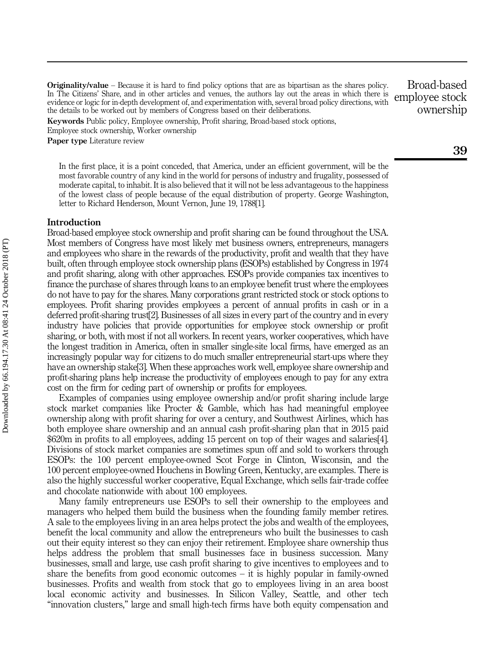Originality/value – Because it is hard to find policy options that are as bipartisan as the shares policy. In The Citizens' Share, and in other articles and venues, the authors lay out the areas in which there is evidence or logic for in-depth development of, and experimentation with, several broad policy directions, with the details to be worked out by members of Congress based on their deliberations.

Keywords Public policy, Employee ownership, Profit sharing, Broad-based stock options, Employee stock ownership, Worker ownership

Paper type Literature review

In the first place, it is a point conceded, that America, under an efficient government, will be the most favorable country of any kind in the world for persons of industry and frugality, possessed of moderate capital, to inhabit. It is also believed that it will not be less advantageous to the happiness of the lowest class of people because of the equal distribution of property. George Washington, letter to Richard Henderson, Mount Vernon, June 19, 1788[1].

#### Introduction

Broad-based employee stock ownership and profit sharing can be found throughout the USA. Most members of Congress have most likely met business owners, entrepreneurs, managers and employees who share in the rewards of the productivity, profit and wealth that they have built, often through employee stock ownership plans (ESOPs) established by Congress in 1974 and profit sharing, along with other approaches. ESOPs provide companies tax incentives to finance the purchase of shares through loans to an employee benefit trust where the employees do not have to pay for the shares. Many corporations grant restricted stock or stock options to employees. Profit sharing provides employees a percent of annual profits in cash or in a deferred profit-sharing trust[2]. Businesses of all sizes in every part of the country and in every industry have policies that provide opportunities for employee stock ownership or profit sharing, or both, with most if not all workers. In recent years, worker cooperatives, which have the longest tradition in America, often in smaller single-site local firms, have emerged as an increasingly popular way for citizens to do much smaller entrepreneurial start-ups where they have an ownership stake[3]. When these approaches work well, employee share ownership and profit-sharing plans help increase the productivity of employees enough to pay for any extra cost on the firm for ceding part of ownership or profits for employees.

Examples of companies using employee ownership and/or profit sharing include large stock market companies like Procter & Gamble, which has had meaningful employee ownership along with profit sharing for over a century, and Southwest Airlines, which has both employee share ownership and an annual cash profit-sharing plan that in 2015 paid \$620m in profits to all employees, adding 15 percent on top of their wages and salaries[4]. Divisions of stock market companies are sometimes spun off and sold to workers through ESOPs: the 100 percent employee-owned Scot Forge in Clinton, Wisconsin, and the 100 percent employee-owned Houchens in Bowling Green, Kentucky, are examples. There is also the highly successful worker cooperative, Equal Exchange, which sells fair-trade coffee and chocolate nationwide with about 100 employees.

Many family entrepreneurs use ESOPs to sell their ownership to the employees and managers who helped them build the business when the founding family member retires. A sale to the employees living in an area helps protect the jobs and wealth of the employees, benefit the local community and allow the entrepreneurs who built the businesses to cash out their equity interest so they can enjoy their retirement. Employee share ownership thus helps address the problem that small businesses face in business succession. Many businesses, small and large, use cash profit sharing to give incentives to employees and to share the benefits from good economic outcomes – it is highly popular in family-owned businesses. Profits and wealth from stock that go to employees living in an area boost local economic activity and businesses. In Silicon Valley, Seattle, and other tech "innovation clusters," large and small high-tech firms have both equity compensation and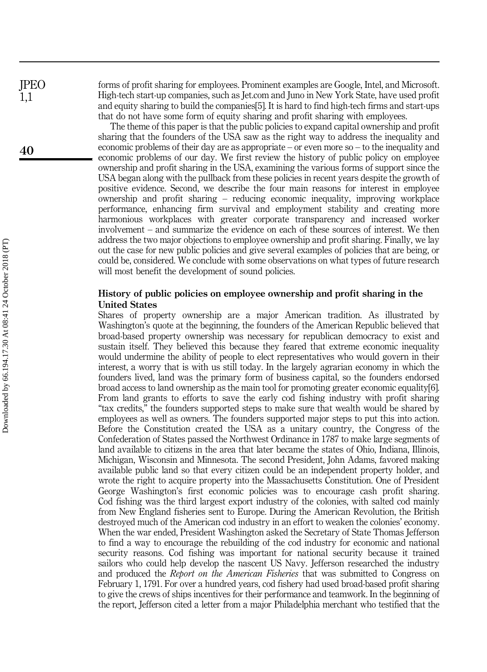forms of profit sharing for employees. Prominent examples are Google, Intel, and Microsoft. High-tech start-up companies, such as Jet.com and Juno in New York State, have used profit and equity sharing to build the companies[5]. It is hard to find high-tech firms and start-ups that do not have some form of equity sharing and profit sharing with employees.

The theme of this paper is that the public policies to expand capital ownership and profit sharing that the founders of the USA saw as the right way to address the inequality and economic problems of their day are as appropriate – or even more so – to the inequality and economic problems of our day. We first review the history of public policy on employee ownership and profit sharing in the USA, examining the various forms of support since the USA began along with the pullback from these policies in recent years despite the growth of positive evidence. Second, we describe the four main reasons for interest in employee ownership and profit sharing – reducing economic inequality, improving workplace performance, enhancing firm survival and employment stability and creating more harmonious workplaces with greater corporate transparency and increased worker involvement – and summarize the evidence on each of these sources of interest. We then address the two major objections to employee ownership and profit sharing. Finally, we lay out the case for new public policies and give several examples of policies that are being, or could be, considered. We conclude with some observations on what types of future research will most benefit the development of sound policies.

#### History of public policies on employee ownership and profit sharing in the United States

Shares of property ownership are a major American tradition. As illustrated by Washington's quote at the beginning, the founders of the American Republic believed that broad-based property ownership was necessary for republican democracy to exist and sustain itself. They believed this because they feared that extreme economic inequality would undermine the ability of people to elect representatives who would govern in their interest, a worry that is with us still today. In the largely agrarian economy in which the founders lived, land was the primary form of business capital, so the founders endorsed broad access to land ownership as the main tool for promoting greater economic equality[6]. From land grants to efforts to save the early cod fishing industry with profit sharing "tax credits," the founders supported steps to make sure that wealth would be shared by employees as well as owners. The founders supported major steps to put this into action. Before the Constitution created the USA as a unitary country, the Congress of the Confederation of States passed the Northwest Ordinance in 1787 to make large segments of land available to citizens in the area that later became the states of Ohio, Indiana, Illinois, Michigan, Wisconsin and Minnesota. The second President, John Adams, favored making available public land so that every citizen could be an independent property holder, and wrote the right to acquire property into the Massachusetts Constitution. One of President George Washington's first economic policies was to encourage cash profit sharing. Cod fishing was the third largest export industry of the colonies, with salted cod mainly from New England fisheries sent to Europe. During the American Revolution, the British destroyed much of the American cod industry in an effort to weaken the colonies' economy. When the war ended, President Washington asked the Secretary of State Thomas Jefferson to find a way to encourage the rebuilding of the cod industry for economic and national security reasons. Cod fishing was important for national security because it trained sailors who could help develop the nascent US Navy. Jefferson researched the industry and produced the *Report on the American Fisheries* that was submitted to Congress on February 1, 1791. For over a hundred years, cod fishery had used broad-based profit sharing to give the crews of ships incentives for their performance and teamwork. In the beginning of the report, Jefferson cited a letter from a major Philadelphia merchant who testified that the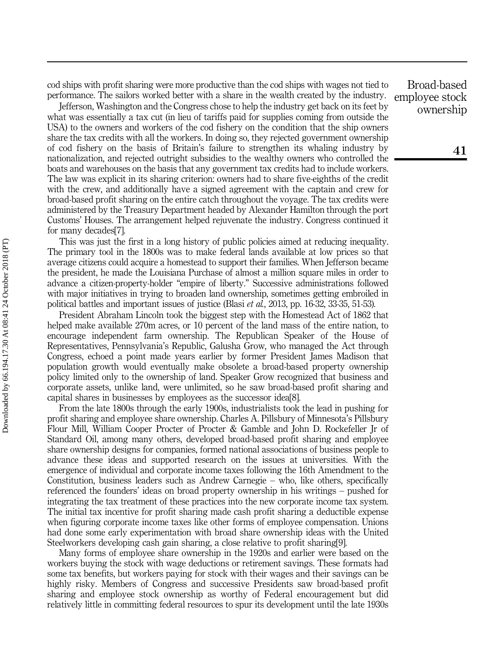cod ships with profit sharing were more productive than the cod ships with wages not tied to performance. The sailors worked better with a share in the wealth created by the industry.

Jefferson, Washington and the Congress chose to help the industry get back on its feet by what was essentially a tax cut (in lieu of tariffs paid for supplies coming from outside the USA) to the owners and workers of the cod fishery on the condition that the ship owners share the tax credits with all the workers. In doing so, they rejected government ownership of cod fishery on the basis of Britain's failure to strengthen its whaling industry by nationalization, and rejected outright subsidies to the wealthy owners who controlled the boats and warehouses on the basis that any government tax credits had to include workers. The law was explicit in its sharing criterion: owners had to share five-eighths of the credit with the crew, and additionally have a signed agreement with the captain and crew for broad-based profit sharing on the entire catch throughout the voyage. The tax credits were administered by the Treasury Department headed by Alexander Hamilton through the port Customs' Houses. The arrangement helped rejuvenate the industry. Congress continued it for many decades[7].

This was just the first in a long history of public policies aimed at reducing inequality. The primary tool in the 1800s was to make federal lands available at low prices so that average citizens could acquire a homestead to support their families. When Jefferson became the president, he made the Louisiana Purchase of almost a million square miles in order to advance a citizen-property-holder "empire of liberty." Successive administrations followed with major initiatives in trying to broaden land ownership, sometimes getting embroiled in political battles and important issues of justice (Blasi et al., 2013, pp. 16-32, 33-35, 51-53).

President Abraham Lincoln took the biggest step with the Homestead Act of 1862 that helped make available 270m acres, or 10 percent of the land mass of the entire nation, to encourage independent farm ownership. The Republican Speaker of the House of Representatives, Pennsylvania's Republic, Galusha Grow, who managed the Act through Congress, echoed a point made years earlier by former President James Madison that population growth would eventually make obsolete a broad-based property ownership policy limited only to the ownership of land. Speaker Grow recognized that business and corporate assets, unlike land, were unlimited, so he saw broad-based profit sharing and capital shares in businesses by employees as the successor idea[8].

From the late 1800s through the early 1900s, industrialists took the lead in pushing for profit sharing and employee share ownership. Charles A. Pillsbury of Minnesota's Pillsbury Flour Mill, William Cooper Procter of Procter & Gamble and John D. Rockefeller Jr of Standard Oil, among many others, developed broad-based profit sharing and employee share ownership designs for companies, formed national associations of business people to advance these ideas and supported research on the issues at universities. With the emergence of individual and corporate income taxes following the 16th Amendment to the Constitution, business leaders such as Andrew Carnegie – who, like others, specifically referenced the founders' ideas on broad property ownership in his writings – pushed for integrating the tax treatment of these practices into the new corporate income tax system. The initial tax incentive for profit sharing made cash profit sharing a deductible expense when figuring corporate income taxes like other forms of employee compensation. Unions had done some early experimentation with broad share ownership ideas with the United Steelworkers developing cash gain sharing, a close relative to profit sharing[9].

Many forms of employee share ownership in the 1920s and earlier were based on the workers buying the stock with wage deductions or retirement savings. These formats had some tax benefits, but workers paying for stock with their wages and their savings can be highly risky. Members of Congress and successive Presidents saw broad-based profit sharing and employee stock ownership as worthy of Federal encouragement but did relatively little in committing federal resources to spur its development until the late 1930s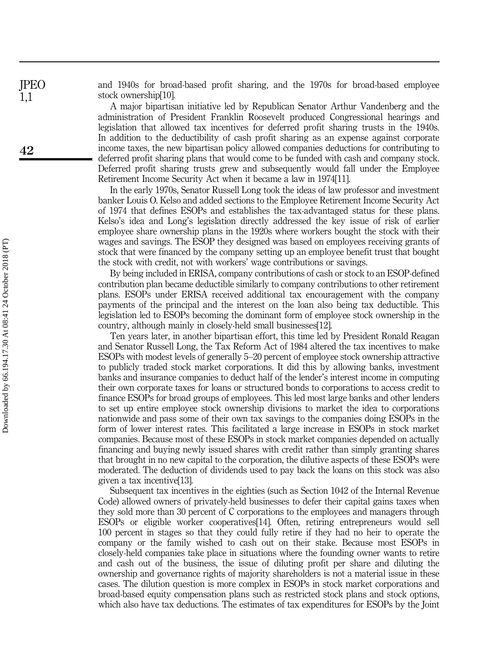and 1940s for broad-based profit sharing, and the 1970s for broad-based employee stock ownership[10].

A major bipartisan initiative led by Republican Senator Arthur Vandenberg and the administration of President Franklin Roosevelt produced Congressional hearings and legislation that allowed tax incentives for deferred profit sharing trusts in the 1940s. In addition to the deductibility of cash profit sharing as an expense against corporate income taxes, the new bipartisan policy allowed companies deductions for contributing to deferred profit sharing plans that would come to be funded with cash and company stock. Deferred profit sharing trusts grew and subsequently would fall under the Employee Retirement Income Security Act when it became a law in 1974[11].

In the early 1970s, Senator Russell Long took the ideas of law professor and investment banker Louis O. Kelso and added sections to the Employee Retirement Income Security Act of 1974 that defines ESOPs and establishes the tax-advantaged status for these plans. Kelso's idea and Long's legislation directly addressed the key issue of risk of earlier employee share ownership plans in the 1920s where workers bought the stock with their wages and savings. The ESOP they designed was based on employees receiving grants of stock that were financed by the company setting up an employee benefit trust that bought the stock with credit, not with workers' wage contributions or savings.

By being included in ERISA, company contributions of cash or stock to an ESOP-defined contribution plan became deductible similarly to company contributions to other retirement plans. ESOPs under ERISA received additional tax encouragement with the company payments of the principal and the interest on the loan also being tax deductible. This legislation led to ESOPs becoming the dominant form of employee stock ownership in the country, although mainly in closely-held small businesses[12].

Ten years later, in another bipartisan effort, this time led by President Ronald Reagan and Senator Russell Long, the Tax Reform Act of 1984 altered the tax incentives to make ESOPs with modest levels of generally 5–20 percent of employee stock ownership attractive to publicly traded stock market corporations. It did this by allowing banks, investment banks and insurance companies to deduct half of the lender's interest income in computing their own corporate taxes for loans or structured bonds to corporations to access credit to finance ESOPs for broad groups of employees. This led most large banks and other lenders to set up entire employee stock ownership divisions to market the idea to corporations nationwide and pass some of their own tax savings to the companies doing ESOPs in the form of lower interest rates. This facilitated a large increase in ESOPs in stock market companies. Because most of these ESOPs in stock market companies depended on actually financing and buying newly issued shares with credit rather than simply granting shares that brought in no new capital to the corporation, the dilutive aspects of these ESOPs were moderated. The deduction of dividends used to pay back the loans on this stock was also given a tax incentive[13].

Subsequent tax incentives in the eighties (such as Section 1042 of the Internal Revenue Code) allowed owners of privately-held businesses to defer their capital gains taxes when they sold more than 30 percent of C corporations to the employees and managers through ESOPs or eligible worker cooperatives[14]. Often, retiring entrepreneurs would sell 100 percent in stages so that they could fully retire if they had no heir to operate the company or the family wished to cash out on their stake. Because most ESOPs in closely-held companies take place in situations where the founding owner wants to retire and cash out of the business, the issue of diluting profit per share and diluting the ownership and governance rights of majority shareholders is not a material issue in these cases. The dilution question is more complex in ESOPs in stock market corporations and broad-based equity compensation plans such as restricted stock plans and stock options, which also have tax deductions. The estimates of tax expenditures for ESOPs by the Joint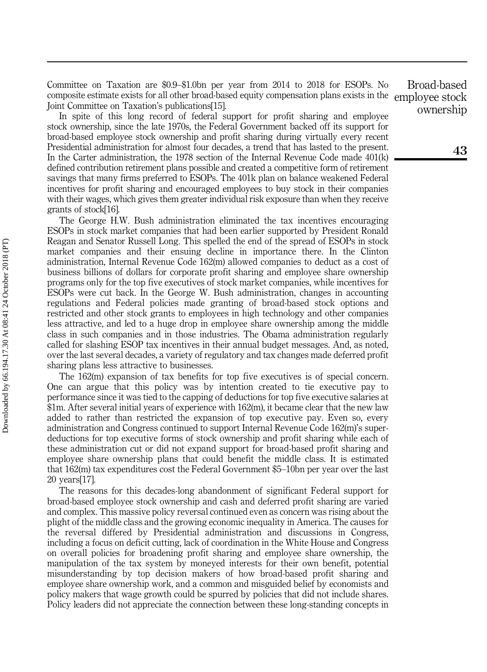Committee on Taxation are \$0.9–\$1.0bn per year from 2014 to 2018 for ESOPs. No composite estimate exists for all other broad-based equity compensation plans exists in the Joint Committee on Taxation's publications[15].

In spite of this long record of federal support for profit sharing and employee stock ownership, since the late 1970s, the Federal Government backed off its support for broad-based employee stock ownership and profit sharing during virtually every recent Presidential administration for almost four decades, a trend that has lasted to the present. In the Carter administration, the 1978 section of the Internal Revenue Code made 401(k) defined contribution retirement plans possible and created a competitive form of retirement savings that many firms preferred to ESOPs. The 401k plan on balance weakened Federal incentives for profit sharing and encouraged employees to buy stock in their companies with their wages, which gives them greater individual risk exposure than when they receive grants of stock[16].

The George H.W. Bush administration eliminated the tax incentives encouraging ESOPs in stock market companies that had been earlier supported by President Ronald Reagan and Senator Russell Long. This spelled the end of the spread of ESOPs in stock market companies and their ensuing decline in importance there. In the Clinton administration, Internal Revenue Code 162(m) allowed companies to deduct as a cost of business billions of dollars for corporate profit sharing and employee share ownership programs only for the top five executives of stock market companies, while incentives for ESOPs were cut back. In the George W. Bush administration, changes in accounting regulations and Federal policies made granting of broad-based stock options and restricted and other stock grants to employees in high technology and other companies less attractive, and led to a huge drop in employee share ownership among the middle class in such companies and in those industries. The Obama administration regularly called for slashing ESOP tax incentives in their annual budget messages. And, as noted, over the last several decades, a variety of regulatory and tax changes made deferred profit sharing plans less attractive to businesses.

The 162(m) expansion of tax benefits for top five executives is of special concern. One can argue that this policy was by intention created to tie executive pay to performance since it was tied to the capping of deductions for top five executive salaries at \$1m. After several initial years of experience with 162(m), it became clear that the new law added to rather than restricted the expansion of top executive pay. Even so, every administration and Congress continued to support Internal Revenue Code 162(m)'s superdeductions for top executive forms of stock ownership and profit sharing while each of these administration cut or did not expand support for broad-based profit sharing and employee share ownership plans that could benefit the middle class. It is estimated that 162(m) tax expenditures cost the Federal Government \$5–10bn per year over the last 20 years[17].

The reasons for this decades-long abandonment of significant Federal support for broad-based employee stock ownership and cash and deferred profit sharing are varied and complex. This massive policy reversal continued even as concern was rising about the plight of the middle class and the growing economic inequality in America. The causes for the reversal differed by Presidential administration and discussions in Congress, including a focus on deficit cutting, lack of coordination in the White House and Congress on overall policies for broadening profit sharing and employee share ownership, the manipulation of the tax system by moneyed interests for their own benefit, potential misunderstanding by top decision makers of how broad-based profit sharing and employee share ownership work, and a common and misguided belief by economists and policy makers that wage growth could be spurred by policies that did not include shares. Policy leaders did not appreciate the connection between these long-standing concepts in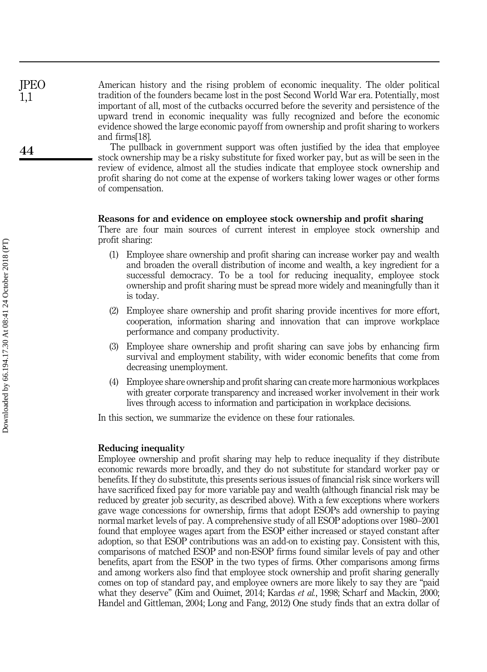American history and the rising problem of economic inequality. The older political tradition of the founders became lost in the post Second World War era. Potentially, most important of all, most of the cutbacks occurred before the severity and persistence of the upward trend in economic inequality was fully recognized and before the economic evidence showed the large economic payoff from ownership and profit sharing to workers and firms[18].

The pullback in government support was often justified by the idea that employee stock ownership may be a risky substitute for fixed worker pay, but as will be seen in the review of evidence, almost all the studies indicate that employee stock ownership and profit sharing do not come at the expense of workers taking lower wages or other forms of compensation.

#### Reasons for and evidence on employee stock ownership and profit sharing

There are four main sources of current interest in employee stock ownership and profit sharing:

- (1) Employee share ownership and profit sharing can increase worker pay and wealth and broaden the overall distribution of income and wealth, a key ingredient for a successful democracy. To be a tool for reducing inequality, employee stock ownership and profit sharing must be spread more widely and meaningfully than it is today.
- (2) Employee share ownership and profit sharing provide incentives for more effort, cooperation, information sharing and innovation that can improve workplace performance and company productivity.
- (3) Employee share ownership and profit sharing can save jobs by enhancing firm survival and employment stability, with wider economic benefits that come from decreasing unemployment.
- (4) Employee share ownership and profit sharing can create more harmonious workplaces with greater corporate transparency and increased worker involvement in their work lives through access to information and participation in workplace decisions.

In this section, we summarize the evidence on these four rationales.

#### Reducing inequality

Employee ownership and profit sharing may help to reduce inequality if they distribute economic rewards more broadly, and they do not substitute for standard worker pay or benefits. If they do substitute, this presents serious issues of financial risk since workers will have sacrificed fixed pay for more variable pay and wealth (although financial risk may be reduced by greater job security, as described above). With a few exceptions where workers gave wage concessions for ownership, firms that adopt ESOPs add ownership to paying normal market levels of pay. A comprehensive study of all ESOP adoptions over 1980–2001 found that employee wages apart from the ESOP either increased or stayed constant after adoption, so that ESOP contributions was an add-on to existing pay. Consistent with this, comparisons of matched ESOP and non-ESOP firms found similar levels of pay and other benefits, apart from the ESOP in the two types of firms. Other comparisons among firms and among workers also find that employee stock ownership and profit sharing generally comes on top of standard pay, and employee owners are more likely to say they are "paid what they deserve" (Kim and Ouimet, 2014; Kardas *et al.*, 1998; Scharf and Mackin, 2000; Handel and Gittleman, 2004; Long and Fang, 2012) One study finds that an extra dollar of

44

JPEO 1,1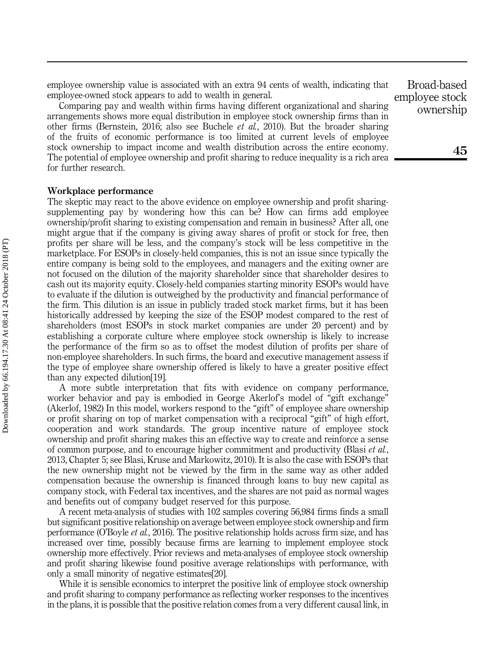employee ownership value is associated with an extra 94 cents of wealth, indicating that employee-owned stock appears to add to wealth in general.

Comparing pay and wealth within firms having different organizational and sharing arrangements shows more equal distribution in employee stock ownership firms than in other firms (Bernstein, 2016; also see Buchele *et al.*, 2010). But the broader sharing of the fruits of economic performance is too limited at current levels of employee stock ownership to impact income and wealth distribution across the entire economy. The potential of employee ownership and profit sharing to reduce inequality is a rich area for further research.

#### Workplace performance

The skeptic may react to the above evidence on employee ownership and profit sharingsupplementing pay by wondering how this can be? How can firms add employee ownership/profit sharing to existing compensation and remain in business? After all, one might argue that if the company is giving away shares of profit or stock for free, then profits per share will be less, and the company's stock will be less competitive in the marketplace. For ESOPs in closely-held companies, this is not an issue since typically the entire company is being sold to the employees, and managers and the exiting owner are not focused on the dilution of the majority shareholder since that shareholder desires to cash out its majority equity. Closely-held companies starting minority ESOPs would have to evaluate if the dilution is outweighed by the productivity and financial performance of the firm. This dilution is an issue in publicly traded stock market firms, but it has been historically addressed by keeping the size of the ESOP modest compared to the rest of shareholders (most ESOPs in stock market companies are under 20 percent) and by establishing a corporate culture where employee stock ownership is likely to increase the performance of the firm so as to offset the modest dilution of profits per share of non-employee shareholders. In such firms, the board and executive management assess if the type of employee share ownership offered is likely to have a greater positive effect than any expected dilution[19].

A more subtle interpretation that fits with evidence on company performance, worker behavior and pay is embodied in George Akerlof's model of "gift exchange" (Akerlof, 1982) In this model, workers respond to the "gift" of employee share ownership or profit sharing on top of market compensation with a reciprocal "gift" of high effort, cooperation and work standards. The group incentive nature of employee stock ownership and profit sharing makes this an effective way to create and reinforce a sense of common purpose, and to encourage higher commitment and productivity (Blasi *et al.*, 2013, Chapter 5; see Blasi, Kruse and Markowitz, 2010). It is also the case with ESOPs that the new ownership might not be viewed by the firm in the same way as other added compensation because the ownership is financed through loans to buy new capital as company stock, with Federal tax incentives, and the shares are not paid as normal wages and benefits out of company budget reserved for this purpose.

A recent meta-analysis of studies with 102 samples covering 56,984 firms finds a small but significant positive relationship on average between employee stock ownership and firm performance (O'Boyle et al., 2016). The positive relationship holds across firm size, and has increased over time, possibly because firms are learning to implement employee stock ownership more effectively. Prior reviews and meta-analyses of employee stock ownership and profit sharing likewise found positive average relationships with performance, with only a small minority of negative estimates[20].

While it is sensible economics to interpret the positive link of employee stock ownership and profit sharing to company performance as reflecting worker responses to the incentives in the plans, it is possible that the positive relation comes from a very different causal link, in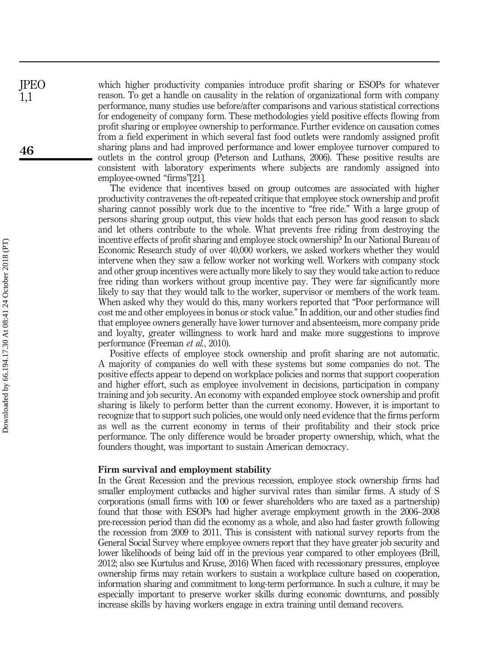which higher productivity companies introduce profit sharing or ESOPs for whatever reason. To get a handle on causality in the relation of organizational form with company performance, many studies use before/after comparisons and various statistical corrections for endogeneity of company form. These methodologies yield positive effects flowing from profit sharing or employee ownership to performance. Further evidence on causation comes from a field experiment in which several fast food outlets were randomly assigned profit sharing plans and had improved performance and lower employee turnover compared to outlets in the control group (Peterson and Luthans, 2006). These positive results are consistent with laboratory experiments where subjects are randomly assigned into employee-owned "firms"[21].

The evidence that incentives based on group outcomes are associated with higher productivity contravenes the oft-repeated critique that employee stock ownership and profit sharing cannot possibly work due to the incentive to "free ride." With a large group of persons sharing group output, this view holds that each person has good reason to slack and let others contribute to the whole. What prevents free riding from destroying the incentive effects of profit sharing and employee stock ownership? In our National Bureau of Economic Research study of over 40,000 workers, we asked workers whether they would intervene when they saw a fellow worker not working well. Workers with company stock and other group incentives were actually more likely to say they would take action to reduce free riding than workers without group incentive pay. They were far significantly more likely to say that they would talk to the worker, supervisor or members of the work team. When asked why they would do this, many workers reported that "Poor performance will cost me and other employees in bonus or stock value." In addition, our and other studies find that employee owners generally have lower turnover and absenteeism, more company pride and loyalty, greater willingness to work hard and make more suggestions to improve performance (Freeman et al., 2010).

Positive effects of employee stock ownership and profit sharing are not automatic. A majority of companies do well with these systems but some companies do not. The positive effects appear to depend on workplace policies and norms that support cooperation and higher effort, such as employee involvement in decisions, participation in company training and job security. An economy with expanded employee stock ownership and profit sharing is likely to perform better than the current economy. However, it is important to recognize that to support such policies, one would only need evidence that the firms perform as well as the current economy in terms of their profitability and their stock price performance. The only difference would be broader property ownership, which, what the founders thought, was important to sustain American democracy.

#### Firm survival and employment stability

In the Great Recession and the previous recession, employee stock ownership firms had smaller employment cutbacks and higher survival rates than similar firms. A study of S corporations (small firms with 100 or fewer shareholders who are taxed as a partnership) found that those with ESOPs had higher average employment growth in the 2006–2008 pre-recession period than did the economy as a whole, and also had faster growth following the recession from 2009 to 2011. This is consistent with national survey reports from the General Social Survey where employee owners report that they have greater job security and lower likelihoods of being laid off in the previous year compared to other employees (Brill, 2012; also see Kurtulus and Kruse, 2016) When faced with recessionary pressures, employee ownership firms may retain workers to sustain a workplace culture based on cooperation, information sharing and commitment to long-term performance. In such a culture, it may be especially important to preserve worker skills during economic downturns, and possibly increase skills by having workers engage in extra training until demand recovers.

JPEO 1,1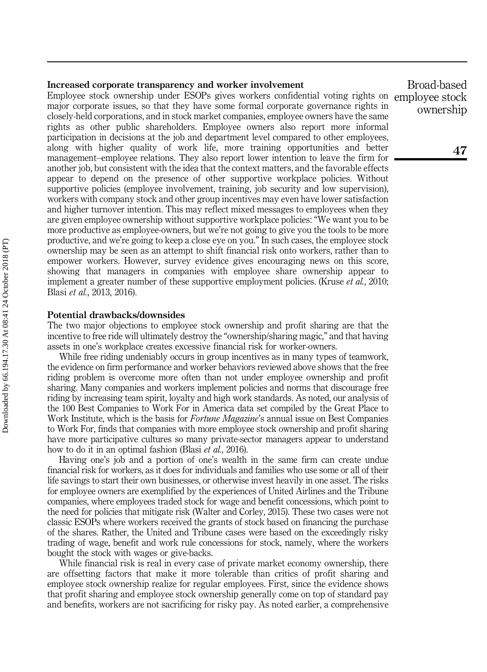#### Increased corporate transparency and worker involvement

Employee stock ownership under ESOPs gives workers confidential voting rights on major corporate issues, so that they have some formal corporate governance rights in closely-held corporations, and in stock market companies, employee owners have the same rights as other public shareholders. Employee owners also report more informal participation in decisions at the job and department level compared to other employees, along with higher quality of work life, more training opportunities and better management–employee relations. They also report lower intention to leave the firm for another job, but consistent with the idea that the context matters, and the favorable effects appear to depend on the presence of other supportive workplace policies. Without supportive policies (employee involvement, training, job security and low supervision), workers with company stock and other group incentives may even have lower satisfaction and higher turnover intention. This may reflect mixed messages to employees when they are given employee ownership without supportive workplace policies: "We want you to be more productive as employee-owners, but we're not going to give you the tools to be more productive, and we're going to keep a close eye on you." In such cases, the employee stock ownership may be seen as an attempt to shift financial risk onto workers, rather than to empower workers. However, survey evidence gives encouraging news on this score, showing that managers in companies with employee share ownership appear to implement a greater number of these supportive employment policies. (Kruse *et al.*, 2010; Blasi et al., 2013, 2016).

#### Potential drawbacks/downsides

The two major objections to employee stock ownership and profit sharing are that the incentive to free ride will ultimately destroy the "ownership/sharing magic," and that having assets in one's workplace creates excessive financial risk for worker-owners.

While free riding undeniably occurs in group incentives as in many types of teamwork, the evidence on firm performance and worker behaviors reviewed above shows that the free riding problem is overcome more often than not under employee ownership and profit sharing. Many companies and workers implement policies and norms that discourage free riding by increasing team spirit, loyalty and high work standards. As noted, our analysis of the 100 Best Companies to Work For in America data set compiled by the Great Place to Work Institute, which is the basis for *Fortune Magazine*'s annual issue on Best Companies to Work For, finds that companies with more employee stock ownership and profit sharing have more participative cultures so many private-sector managers appear to understand how to do it in an optimal fashion (Blasi *et al.*, 2016).

Having one's job and a portion of one's wealth in the same firm can create undue financial risk for workers, as it does for individuals and families who use some or all of their life savings to start their own businesses, or otherwise invest heavily in one asset. The risks for employee owners are exemplified by the experiences of United Airlines and the Tribune companies, where employees traded stock for wage and benefit concessions, which point to the need for policies that mitigate risk (Walter and Corley, 2015). These two cases were not classic ESOPs where workers received the grants of stock based on financing the purchase of the shares. Rather, the United and Tribune cases were based on the exceedingly risky trading of wage, benefit and work rule concessions for stock, namely, where the workers bought the stock with wages or give-backs.

While financial risk is real in every case of private market economy ownership, there are offsetting factors that make it more tolerable than critics of profit sharing and employee stock ownership realize for regular employees. First, since the evidence shows that profit sharing and employee stock ownership generally come on top of standard pay and benefits, workers are not sacrificing for risky pay. As noted earlier, a comprehensive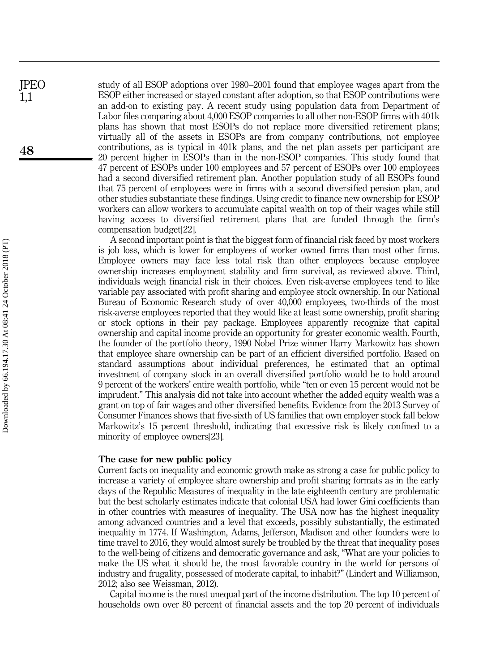study of all ESOP adoptions over 1980–2001 found that employee wages apart from the ESOP either increased or stayed constant after adoption, so that ESOP contributions were an add-on to existing pay. A recent study using population data from Department of Labor files comparing about 4,000 ESOP companies to all other non-ESOP firms with 401k plans has shown that most ESOPs do not replace more diversified retirement plans; virtually all of the assets in ESOPs are from company contributions, not employee contributions, as is typical in 401k plans, and the net plan assets per participant are 20 percent higher in ESOPs than in the non-ESOP companies. This study found that 47 percent of ESOPs under 100 employees and 57 percent of ESOPs over 100 employees had a second diversified retirement plan. Another population study of all ESOPs found that 75 percent of employees were in firms with a second diversified pension plan, and other studies substantiate these findings. Using credit to finance new ownership for ESOP workers can allow workers to accumulate capital wealth on top of their wages while still having access to diversified retirement plans that are funded through the firm's compensation budget[22].

A second important point is that the biggest form of financial risk faced by most workers is job loss, which is lower for employees of worker owned firms than most other firms. Employee owners may face less total risk than other employees because employee ownership increases employment stability and firm survival, as reviewed above. Third, individuals weigh financial risk in their choices. Even risk-averse employees tend to like variable pay associated with profit sharing and employee stock ownership. In our National Bureau of Economic Research study of over 40,000 employees, two-thirds of the most risk-averse employees reported that they would like at least some ownership, profit sharing or stock options in their pay package. Employees apparently recognize that capital ownership and capital income provide an opportunity for greater economic wealth. Fourth, the founder of the portfolio theory, 1990 Nobel Prize winner Harry Markowitz has shown that employee share ownership can be part of an efficient diversified portfolio. Based on standard assumptions about individual preferences, he estimated that an optimal investment of company stock in an overall diversified portfolio would be to hold around 9 percent of the workers' entire wealth portfolio, while "ten or even 15 percent would not be imprudent." This analysis did not take into account whether the added equity wealth was a grant on top of fair wages and other diversified benefits. Evidence from the 2013 Survey of Consumer Finances shows that five-sixth of US families that own employer stock fall below Markowitz's 15 percent threshold, indicating that excessive risk is likely confined to a minority of employee owners[23].

#### The case for new public policy

Current facts on inequality and economic growth make as strong a case for public policy to increase a variety of employee share ownership and profit sharing formats as in the early days of the Republic Measures of inequality in the late eighteenth century are problematic but the best scholarly estimates indicate that colonial USA had lower Gini coefficients than in other countries with measures of inequality. The USA now has the highest inequality among advanced countries and a level that exceeds, possibly substantially, the estimated inequality in 1774. If Washington, Adams, Jefferson, Madison and other founders were to time travel to 2016, they would almost surely be troubled by the threat that inequality poses to the well-being of citizens and democratic governance and ask, "What are your policies to make the US what it should be, the most favorable country in the world for persons of industry and frugality, possessed of moderate capital, to inhabit?" (Lindert and Williamson, 2012; also see Weissman, 2012).

Capital income is the most unequal part of the income distribution. The top 10 percent of households own over 80 percent of financial assets and the top 20 percent of individuals

JPEO 1,1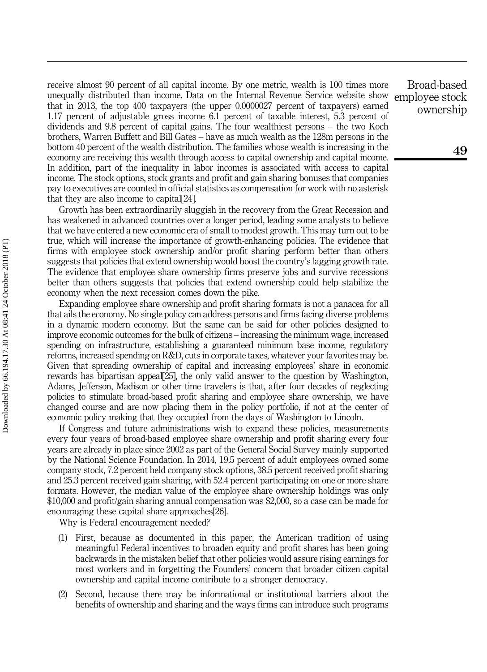receive almost 90 percent of all capital income. By one metric, wealth is 100 times more unequally distributed than income. Data on the Internal Revenue Service website show that in 2013, the top 400 taxpayers (the upper 0.0000027 percent of taxpayers) earned 1.17 percent of adjustable gross income 6.1 percent of taxable interest, 5.3 percent of dividends and 9.8 percent of capital gains. The four wealthiest persons – the two Koch brothers, Warren Buffett and Bill Gates – have as much wealth as the 128m persons in the bottom 40 percent of the wealth distribution. The families whose wealth is increasing in the economy are receiving this wealth through access to capital ownership and capital income. In addition, part of the inequality in labor incomes is associated with access to capital income. The stock options, stock grants and profit and gain sharing bonuses that companies pay to executives are counted in official statistics as compensation for work with no asterisk that they are also income to capital[24].

Growth has been extraordinarily sluggish in the recovery from the Great Recession and has weakened in advanced countries over a longer period, leading some analysts to believe that we have entered a new economic era of small to modest growth. This may turn out to be true, which will increase the importance of growth-enhancing policies. The evidence that firms with employee stock ownership and/or profit sharing perform better than others suggests that policies that extend ownership would boost the country's lagging growth rate. The evidence that employee share ownership firms preserve jobs and survive recessions better than others suggests that policies that extend ownership could help stabilize the economy when the next recession comes down the pike.

Expanding employee share ownership and profit sharing formats is not a panacea for all that ails the economy. No single policy can address persons and firms facing diverse problems in a dynamic modern economy. But the same can be said for other policies designed to improve economic outcomes for the bulk of citizens – increasing the minimum wage, increased spending on infrastructure, establishing a guaranteed minimum base income, regulatory reforms, increased spending on R&D, cuts in corporate taxes, whatever your favorites may be. Given that spreading ownership of capital and increasing employees' share in economic rewards has bipartisan appeal[25], the only valid answer to the question by Washington, Adams, Jefferson, Madison or other time travelers is that, after four decades of neglecting policies to stimulate broad-based profit sharing and employee share ownership, we have changed course and are now placing them in the policy portfolio, if not at the center of economic policy making that they occupied from the days of Washington to Lincoln.

If Congress and future administrations wish to expand these policies, measurements every four years of broad-based employee share ownership and profit sharing every four years are already in place since 2002 as part of the General Social Survey mainly supported by the National Science Foundation. In 2014, 19.5 percent of adult employees owned some company stock, 7.2 percent held company stock options, 38.5 percent received profit sharing and 25.3 percent received gain sharing, with 52.4 percent participating on one or more share formats. However, the median value of the employee share ownership holdings was only \$10,000 and profit/gain sharing annual compensation was \$2,000, so a case can be made for encouraging these capital share approaches[26].

Why is Federal encouragement needed?

- (1) First, because as documented in this paper, the American tradition of using meaningful Federal incentives to broaden equity and profit shares has been going backwards in the mistaken belief that other policies would assure rising earnings for most workers and in forgetting the Founders' concern that broader citizen capital ownership and capital income contribute to a stronger democracy.
- (2) Second, because there may be informational or institutional barriers about the benefits of ownership and sharing and the ways firms can introduce such programs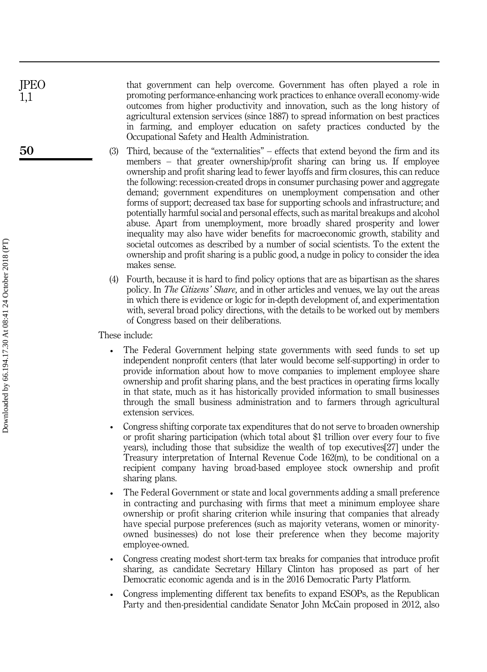that government can help overcome. Government has often played a role in promoting performance-enhancing work practices to enhance overall economy-wide outcomes from higher productivity and innovation, such as the long history of agricultural extension services (since 1887) to spread information on best practices in farming, and employer education on safety practices conducted by the Occupational Safety and Health Administration.

- (3) Third, because of the "externalities" effects that extend beyond the firm and its members – that greater ownership/profit sharing can bring us. If employee ownership and profit sharing lead to fewer layoffs and firm closures, this can reduce the following: recession-created drops in consumer purchasing power and aggregate demand; government expenditures on unemployment compensation and other forms of support; decreased tax base for supporting schools and infrastructure; and potentially harmful social and personal effects, such as marital breakups and alcohol abuse. Apart from unemployment, more broadly shared prosperity and lower inequality may also have wider benefits for macroeconomic growth, stability and societal outcomes as described by a number of social scientists. To the extent the ownership and profit sharing is a public good, a nudge in policy to consider the idea makes sense.
	- (4) Fourth, because it is hard to find policy options that are as bipartisan as the shares policy. In The Citizens' Share, and in other articles and venues, we lay out the areas in which there is evidence or logic for in-depth development of, and experimentation with, several broad policy directions, with the details to be worked out by members of Congress based on their deliberations.

These include:

- The Federal Government helping state governments with seed funds to set up independent nonprofit centers (that later would become self-supporting) in order to provide information about how to move companies to implement employee share ownership and profit sharing plans, and the best practices in operating firms locally in that state, much as it has historically provided information to small businesses through the small business administration and to farmers through agricultural extension services.
- Congress shifting corporate tax expenditures that do not serve to broaden ownership or profit sharing participation (which total about \$1 trillion over every four to five years), including those that subsidize the wealth of top executives[27] under the Treasury interpretation of Internal Revenue Code 162(m), to be conditional on a recipient company having broad-based employee stock ownership and profit sharing plans.
- The Federal Government or state and local governments adding a small preference in contracting and purchasing with firms that meet a minimum employee share ownership or profit sharing criterion while insuring that companies that already have special purpose preferences (such as majority veterans, women or minorityowned businesses) do not lose their preference when they become majority employee-owned.
- Congress creating modest short-term tax breaks for companies that introduce profit sharing, as candidate Secretary Hillary Clinton has proposed as part of her Democratic economic agenda and is in the 2016 Democratic Party Platform.
- Congress implementing different tax benefits to expand ESOPs, as the Republican Party and then-presidential candidate Senator John McCain proposed in 2012, also

JPEO 1,1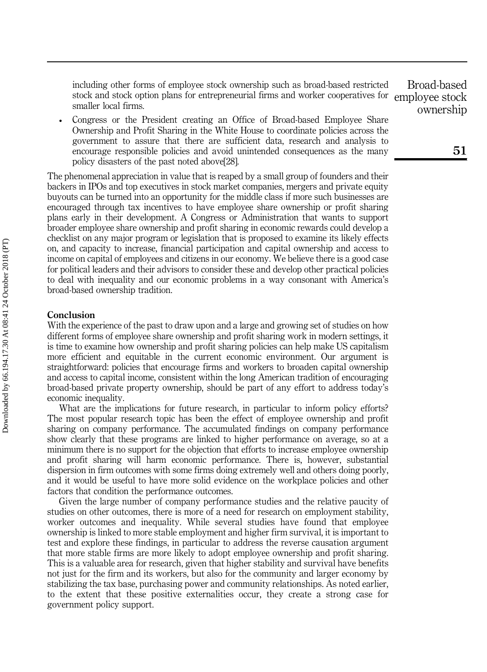including other forms of employee stock ownership such as broad-based restricted stock and stock option plans for entrepreneurial firms and worker cooperatives for smaller local firms.

• Congress or the President creating an Office of Broad-based Employee Share Ownership and Profit Sharing in the White House to coordinate policies across the government to assure that there are sufficient data, research and analysis to encourage responsible policies and avoid unintended consequences as the many policy disasters of the past noted above[28].

The phenomenal appreciation in value that is reaped by a small group of founders and their backers in IPOs and top executives in stock market companies, mergers and private equity buyouts can be turned into an opportunity for the middle class if more such businesses are encouraged through tax incentives to have employee share ownership or profit sharing plans early in their development. A Congress or Administration that wants to support broader employee share ownership and profit sharing in economic rewards could develop a checklist on any major program or legislation that is proposed to examine its likely effects on, and capacity to increase, financial participation and capital ownership and access to income on capital of employees and citizens in our economy. We believe there is a good case for political leaders and their advisors to consider these and develop other practical policies to deal with inequality and our economic problems in a way consonant with America's broad-based ownership tradition.

#### Conclusion

With the experience of the past to draw upon and a large and growing set of studies on how different forms of employee share ownership and profit sharing work in modern settings, it is time to examine how ownership and profit sharing policies can help make US capitalism more efficient and equitable in the current economic environment. Our argument is straightforward: policies that encourage firms and workers to broaden capital ownership and access to capital income, consistent within the long American tradition of encouraging broad-based private property ownership, should be part of any effort to address today's economic inequality.

What are the implications for future research, in particular to inform policy efforts? The most popular research topic has been the effect of employee ownership and profit sharing on company performance. The accumulated findings on company performance show clearly that these programs are linked to higher performance on average, so at a minimum there is no support for the objection that efforts to increase employee ownership and profit sharing will harm economic performance. There is, however, substantial dispersion in firm outcomes with some firms doing extremely well and others doing poorly, and it would be useful to have more solid evidence on the workplace policies and other factors that condition the performance outcomes.

Given the large number of company performance studies and the relative paucity of studies on other outcomes, there is more of a need for research on employment stability, worker outcomes and inequality. While several studies have found that employee ownership is linked to more stable employment and higher firm survival, it is important to test and explore these findings, in particular to address the reverse causation argument that more stable firms are more likely to adopt employee ownership and profit sharing. This is a valuable area for research, given that higher stability and survival have benefits not just for the firm and its workers, but also for the community and larger economy by stabilizing the tax base, purchasing power and community relationships. As noted earlier, to the extent that these positive externalities occur, they create a strong case for government policy support.

Broad-based employee stock ownership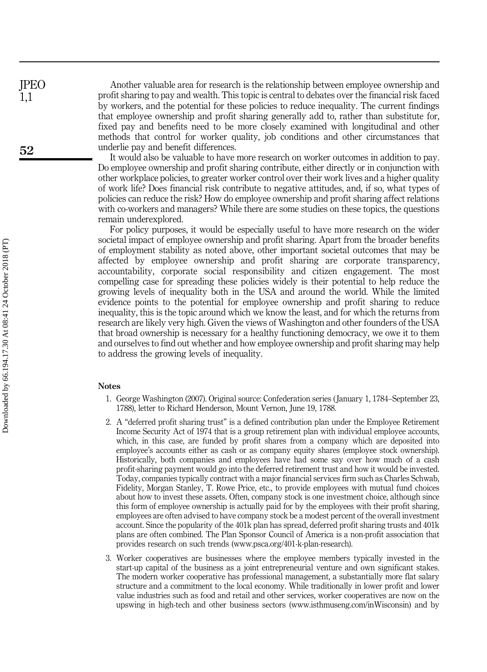Another valuable area for research is the relationship between employee ownership and profit sharing to pay and wealth. This topic is central to debates over the financial risk faced by workers, and the potential for these policies to reduce inequality. The current findings that employee ownership and profit sharing generally add to, rather than substitute for, fixed pay and benefits need to be more closely examined with longitudinal and other methods that control for worker quality, job conditions and other circumstances that underlie pay and benefit differences.

It would also be valuable to have more research on worker outcomes in addition to pay. Do employee ownership and profit sharing contribute, either directly or in conjunction with other workplace policies, to greater worker control over their work lives and a higher quality of work life? Does financial risk contribute to negative attitudes, and, if so, what types of policies can reduce the risk? How do employee ownership and profit sharing affect relations with co-workers and managers? While there are some studies on these topics, the questions remain underexplored.

For policy purposes, it would be especially useful to have more research on the wider societal impact of employee ownership and profit sharing. Apart from the broader benefits of employment stability as noted above, other important societal outcomes that may be affected by employee ownership and profit sharing are corporate transparency, accountability, corporate social responsibility and citizen engagement. The most compelling case for spreading these policies widely is their potential to help reduce the growing levels of inequality both in the USA and around the world. While the limited evidence points to the potential for employee ownership and profit sharing to reduce inequality, this is the topic around which we know the least, and for which the returns from research are likely very high. Given the views of Washington and other founders of the USA that broad ownership is necessary for a healthy functioning democracy, we owe it to them and ourselves to find out whether and how employee ownership and profit sharing may help to address the growing levels of inequality.

#### Notes

- 1. George Washington (2007). Original source: Confederation series ( January 1, 1784–September 23, 1788), letter to Richard Henderson, Mount Vernon, June 19, 1788.
- 2. A "deferred profit sharing trust" is a defined contribution plan under the Employee Retirement Income Security Act of 1974 that is a group retirement plan with individual employee accounts, which, in this case, are funded by profit shares from a company which are deposited into employee's accounts either as cash or as company equity shares (employee stock ownership). Historically, both companies and employees have had some say over how much of a cash profit-sharing payment would go into the deferred retirement trust and how it would be invested. Today, companies typically contract with a major financial services firm such as Charles Schwab, Fidelity, Morgan Stanley, T. Rowe Price, etc., to provide employees with mutual fund choices about how to invest these assets. Often, company stock is one investment choice, although since this form of employee ownership is actually paid for by the employees with their profit sharing, employees are often advised to have company stock be a modest percent of the overall investment account. Since the popularity of the 401k plan has spread, deferred profit sharing trusts and 401k plans are often combined. The Plan Sponsor Council of America is a non-profit association that provides research on such trends ([www.psca.org/401-k-plan-research\)](www.psca.org/401-k-plan-research).
- 3. Worker cooperatives are businesses where the employee members typically invested in the start-up capital of the business as a joint entrepreneurial venture and own significant stakes. The modern worker cooperative has professional management, a substantially more flat salary structure and a commitment to the local economy. While traditionally in lower profit and lower value industries such as food and retail and other services, worker cooperatives are now on the upswing in high-tech and other business sectors [\(www.isthmuseng.com/inWisconsin\)](www.isthmuseng.com/inWisconsin) and by

1,1

**IPEO**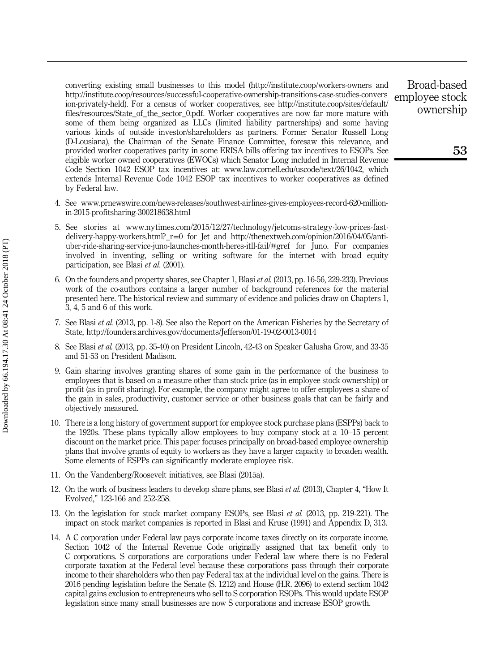converting existing small businesses to this model [\(http://institute.coop/workers-owners](http://institute.coop/workers-owners) and [http://institute.coop/resources/successful-cooperative-ownership-transitions-case-studies-convers](http://institute.coop/resources/successful-cooperative-ownership-transitions-case-studies-conversion-privately-held) [ion-privately-held](http://institute.coop/resources/successful-cooperative-ownership-transitions-case-studies-conversion-privately-held)). For a census of worker cooperatives, see [http://institute.coop/sites/default/](http://institute.coop/sites/default/files/resources/State_of_the_sector_0.pdf) files/resources/State of the sector 0.pdf. Worker cooperatives are now far more mature with some of them being organized as LLCs (limited liability partnerships) and some having various kinds of outside investor/shareholders as partners. Former Senator Russell Long (D-Lousiana), the Chairman of the Senate Finance Committee, foresaw this relevance, and provided worker cooperatives parity in some ERISA bills offering tax incentives to ESOPs. See eligible worker owned cooperatives (EWOCs) which Senator Long included in Internal Revenue Code Section 1042 ESOP tax incentives at:<www.law.cornell.edu/uscode/text/26/1042,> which extends Internal Revenue Code 1042 ESOP tax incentives to worker cooperatives as defined by Federal law.

- 4. See [www.prnewswire.com/news-releases/southwest-airlines-gives-employees-record-620-million](www.prnewswire.com/news-releases/southwest-airlines-gives-employees-record-620-million-in-2015-profitsharing-300218638.html)[in-2015-profitsharing-300218638.html](www.prnewswire.com/news-releases/southwest-airlines-gives-employees-record-620-million-in-2015-profitsharing-300218638.html)
- 5. See stories at [www.nytimes.com/2015/12/27/technology/jetcoms-strategy-low-prices-fast](www.nytimes.com/2015/12/27/technology/jetcoms-strategy-low-prices-fast-delivery-happy-workers.html?_r=0)[delivery-happy-workers.html?\\_r](www.nytimes.com/2015/12/27/technology/jetcoms-strategy-low-prices-fast-delivery-happy-workers.html?_r=0)=0 for Jet and [http://thenextweb.com/opinion/2016/04/05/anti](http://thenextweb.com/opinion/2016/04/05/anti-uber-ride-sharing-service-juno-launches-month-heres-itll-fail/#gref)[uber-ride-sharing-service-juno-launches-month-heres-itll-fail/#gref](http://thenextweb.com/opinion/2016/04/05/anti-uber-ride-sharing-service-juno-launches-month-heres-itll-fail/#gref) for Juno. For companies involved in inventing, selling or writing software for the internet with broad equity participation, see Blasi et al. (2001).
- 6. On the founders and property shares, see Chapter 1, Blasi et al. (2013, pp. 16-56, 229-233). Previous work of the co-authors contains a larger number of background references for the material presented here. The historical review and summary of evidence and policies draw on Chapters 1, 3, 4, 5 and 6 of this work.
- 7. See Blasi et al. (2013, pp. 1-8). See also the Report on the American Fisheries by the Secretary of State, http://founders.archives.gov/documents/Jefferson/01-19-02-0013-0014
- 8. See Blasi et al. (2013, pp. 35-40) on President Lincoln, 42-43 on Speaker Galusha Grow, and 33-35 and 51-53 on President Madison.
- 9. Gain sharing involves granting shares of some gain in the performance of the business to employees that is based on a measure other than stock price (as in employee stock ownership) or profit (as in profit sharing). For example, the company might agree to offer employees a share of the gain in sales, productivity, customer service or other business goals that can be fairly and objectively measured.
- 10. There is a long history of government support for employee stock purchase plans (ESPPs) back to the 1920s. These plans typically allow employees to buy company stock at a 10–15 percent discount on the market price. This paper focuses principally on broad-based employee ownership plans that involve grants of equity to workers as they have a larger capacity to broaden wealth. Some elements of ESPPs can significantly moderate employee risk.
- 11. On the Vandenberg/Roosevelt initiatives, see Blasi (2015a).
- 12. On the work of business leaders to develop share plans, see Blasi et al. (2013), Chapter 4, "How It Evolved," 123-166 and 252-258.
- 13. On the legislation for stock market company ESOPs, see Blasi et al. (2013, pp. 219-221). The impact on stock market companies is reported in Blasi and Kruse (1991) and Appendix D, 313.
- 14. A C corporation under Federal law pays corporate income taxes directly on its corporate income. Section 1042 of the Internal Revenue Code originally assigned that tax benefit only to C corporations. S corporations are corporations under Federal law where there is no Federal corporate taxation at the Federal level because these corporations pass through their corporate income to their shareholders who then pay Federal tax at the individual level on the gains. There is 2016 pending legislation before the Senate (S. 1212) and House (H.R. 2096) to extend section 1042 capital gains exclusion to entrepreneurs who sell to S corporation ESOPs. This would update ESOP legislation since many small businesses are now S corporations and increase ESOP growth.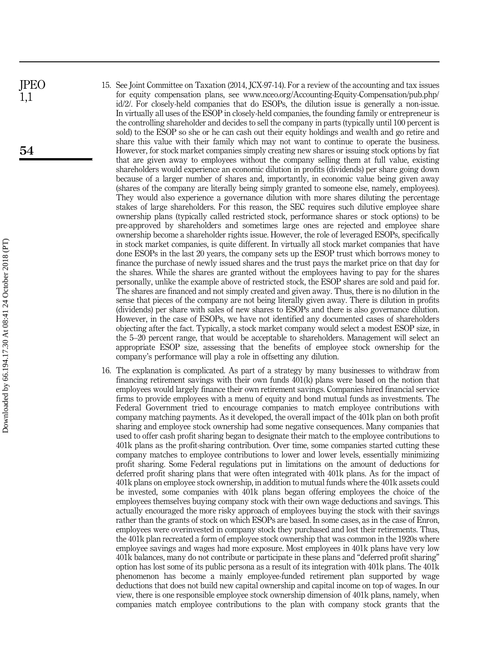- 15. See Joint Committee on Taxation (2014, JCX-97-14). For a review of the accounting and tax issues for equity compensation plans, see [www.nceo.org/Accounting-Equity-Compensation/pub.php/](www.nceo.org/Accounting-Equity-Compensation/pub.php/id/2/) [id/2/.](www.nceo.org/Accounting-Equity-Compensation/pub.php/id/2/) For closely-held companies that do ESOPs, the dilution issue is generally a non-issue. In virtually all uses of the ESOP in closely-held companies, the founding family or entrepreneur is the controlling shareholder and decides to sell the company in parts (typically until 100 percent is sold) to the ESOP so she or he can cash out their equity holdings and wealth and go retire and share this value with their family which may not want to continue to operate the business. However, for stock market companies simply creating new shares or issuing stock options by fiat that are given away to employees without the company selling them at full value, existing shareholders would experience an economic dilution in profits (dividends) per share going down because of a larger number of shares and, importantly, in economic value being given away (shares of the company are literally being simply granted to someone else, namely, employees). They would also experience a governance dilution with more shares diluting the percentage stakes of large shareholders. For this reason, the SEC requires such dilutive employee share ownership plans (typically called restricted stock, performance shares or stock options) to be pre-approved by shareholders and sometimes large ones are rejected and employee share ownership become a shareholder rights issue. However, the role of leveraged ESOPs, specifically in stock market companies, is quite different. In virtually all stock market companies that have done ESOPs in the last 20 years, the company sets up the ESOP trust which borrows money to finance the purchase of newly issued shares and the trust pays the market price on that day for the shares. While the shares are granted without the employees having to pay for the shares personally, unlike the example above of restricted stock, the ESOP shares are sold and paid for. The shares are financed and not simply created and given away. Thus, there is no dilution in the sense that pieces of the company are not being literally given away. There is dilution in profits (dividends) per share with sales of new shares to ESOPs and there is also governance dilution. However, in the case of ESOPs, we have not identified any documented cases of shareholders objecting after the fact. Typically, a stock market company would select a modest ESOP size, in the 5–20 percent range, that would be acceptable to shareholders. Management will select an appropriate ESOP size, assessing that the benefits of employee stock ownership for the company's performance will play a role in offsetting any dilution.
	- 16. The explanation is complicated. As part of a strategy by many businesses to withdraw from financing retirement savings with their own funds 401(k) plans were based on the notion that employees would largely finance their own retirement savings. Companies hired financial service firms to provide employees with a menu of equity and bond mutual funds as investments. The Federal Government tried to encourage companies to match employee contributions with company matching payments. As it developed, the overall impact of the 401k plan on both profit sharing and employee stock ownership had some negative consequences. Many companies that used to offer cash profit sharing began to designate their match to the employee contributions to 401k plans as the profit-sharing contribution. Over time, some companies started cutting these company matches to employee contributions to lower and lower levels, essentially minimizing profit sharing. Some Federal regulations put in limitations on the amount of deductions for deferred profit sharing plans that were often integrated with 401k plans. As for the impact of 401k plans on employee stock ownership, in addition to mutual funds where the 401k assets could be invested, some companies with 401k plans began offering employees the choice of the employees themselves buying company stock with their own wage deductions and savings. This actually encouraged the more risky approach of employees buying the stock with their savings rather than the grants of stock on which ESOPs are based. In some cases, as in the case of Enron, employees were overinvested in company stock they purchased and lost their retirements. Thus, the 401k plan recreated a form of employee stock ownership that was common in the 1920s where employee savings and wages had more exposure. Most employees in 401k plans have very low 401k balances, many do not contribute or participate in these plans and "deferred profit sharing" option has lost some of its public persona as a result of its integration with 401k plans. The 401k phenomenon has become a mainly employee-funded retirement plan supported by wage deductions that does not build new capital ownership and capital income on top of wages. In our view, there is one responsible employee stock ownership dimension of 401k plans, namely, when companies match employee contributions to the plan with company stock grants that the

**IPEO** 1,1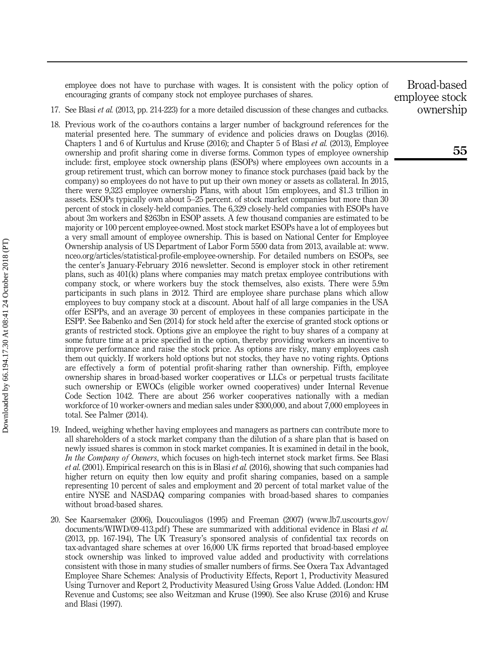employee does not have to purchase with wages. It is consistent with the policy option of encouraging grants of company stock not employee purchases of shares.

- 17. See Blasi et al. (2013, pp. 214-223) for a more detailed discussion of these changes and cutbacks.
- 18. Previous work of the co-authors contains a larger number of background references for the material presented here. The summary of evidence and policies draws on Douglas (2016). Chapters 1 and 6 of Kurtulus and Kruse (2016); and Chapter 5 of Blasi et al. (2013), Employee ownership and profit sharing come in diverse forms. Common types of employee ownership include: first, employee stock ownership plans (ESOPs) where employees own accounts in a group retirement trust, which can borrow money to finance stock purchases (paid back by the company) so employees do not have to put up their own money or assets as collateral. In 2015, there were 9,323 employee ownership Plans, with about 15m employees, and \$1.3 trillion in assets. ESOPs typically own about 5–25 percent. of stock market companies but more than 30 percent of stock in closely-held companies. The 6,329 closely-held companies with ESOPs have about 3m workers and \$263bn in ESOP assets. A few thousand companies are estimated to be majority or 100 percent employee-owned. Most stock market ESOPs have a lot of employees but a very small amount of employee ownership. This is based on National Center for Employee Ownership analysis of US Department of Labor Form 5500 data from 2013, available at: [www.](www.nceo.org/articles/statistical-profile-employee-ownership) [nceo.org/articles/statistical-profile-employee-ownership](www.nceo.org/articles/statistical-profile-employee-ownership). For detailed numbers on ESOPs, see the center's January-February 2016 newsletter. Second is employer stock in other retirement plans, such as 401(k) plans where companies may match pretax employee contributions with company stock, or where workers buy the stock themselves, also exists. There were 5.9m participants in such plans in 2012. Third are employee share purchase plans which allow employees to buy company stock at a discount. About half of all large companies in the USA offer ESPPs, and an average 30 percent of employees in these companies participate in the ESPP. See Babenko and Sen (2014) for stock held after the exercise of granted stock options or grants of restricted stock. Options give an employee the right to buy shares of a company at some future time at a price specified in the option, thereby providing workers an incentive to improve performance and raise the stock price. As options are risky, many employees cash them out quickly. If workers hold options but not stocks, they have no voting rights. Options are effectively a form of potential profit-sharing rather than ownership. Fifth, employee ownership shares in broad-based worker cooperatives or LLCs or perpetual trusts facilitate such ownership or EWOCs (eligible worker owned cooperatives) under Internal Revenue Code Section 1042. There are about 256 worker cooperatives nationally with a median workforce of 10 worker-owners and median sales under \$300,000, and about 7,000 employees in total. See Palmer (2014).
- 19. Indeed, weighing whether having employees and managers as partners can contribute more to all shareholders of a stock market company than the dilution of a share plan that is based on newly issued shares is common in stock market companies. It is examined in detail in the book, In the Company of Owners, which focuses on high-tech internet stock market firms. See Blasi *et al.* (2001). Empirical research on this is in Blasi *et al.* (2016), showing that such companies had higher return on equity then low equity and profit sharing companies, based on a sample representing 10 percent of sales and employment and 20 percent of total market value of the entire NYSE and NASDAQ comparing companies with broad-based shares to companies without broad-based shares.
- 20. See Kaarsemaker (2006), Doucouliagos (1995) and Freeman (2007) ([www.lb7.uscourts.gov/](www.lb7.uscourts.gov/documents/WIWD/09-413.pdf) [documents/WIWD/09-413.pdf](www.lb7.uscourts.gov/documents/WIWD/09-413.pdf)) These are summarized with additional evidence in Blasi *et al.* (2013, pp. 167-194), The UK Treasury's sponsored analysis of confidential tax records on tax-advantaged share schemes at over 16,000 UK firms reported that broad-based employee stock ownership was linked to improved value added and productivity with correlations consistent with those in many studies of smaller numbers of firms. See Oxera Tax Advantaged Employee Share Schemes: Analysis of Productivity Effects, Report 1, Productivity Measured Using Turnover and Report 2, Productivity Measured Using Gross Value Added. (London: HM Revenue and Customs; see also Weitzman and Kruse (1990). See also Kruse (2016) and Kruse and Blasi (1997).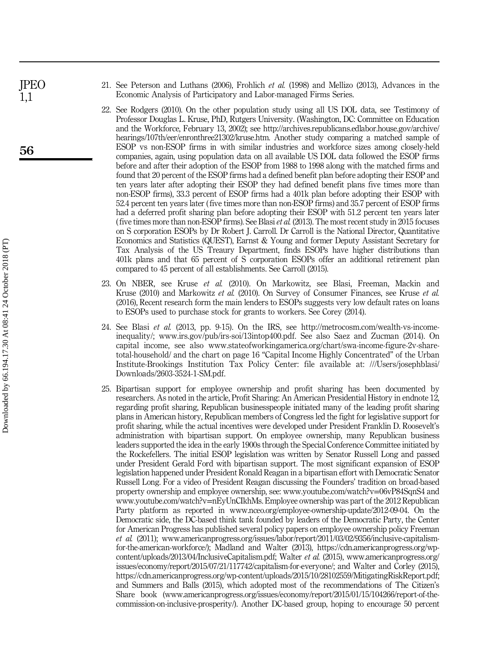- 21. See Peterson and Luthans (2006), Frohlich et al. (1998) and Mellizo (2013), Advances in the Economic Analysis of Participatory and Labor-managed Firms Series.
- 22. See Rodgers (2010). On the other population study using all US DOL data, see Testimony of Professor Douglas L. Kruse, PhD, Rutgers University. (Washington, DC: Committee on Education and the Workforce, February 13, 2002); see [http://archives.republicans.edlabor.house.gov/archive/](http://archives.republicans.edlabor.house.gov/archive/hearings/107th/eer/enronthree21302/kruse.htm) [hearings/107th/eer/enronthree21302/kruse.htm](http://archives.republicans.edlabor.house.gov/archive/hearings/107th/eer/enronthree21302/kruse.htm). Another study comparing a matched sample of ESOP vs non-ESOP firms in with similar industries and workforce sizes among closely-held companies, again, using population data on all available US DOL data followed the ESOP firms before and after their adoption of the ESOP from 1988 to 1998 along with the matched firms and found that 20 percent of the ESOP firms had a defined benefit plan before adopting their ESOP and ten years later after adopting their ESOP they had defined benefit plans five times more than non-ESOP firms), 33.3 percent of ESOP firms had a 401k plan before adopting their ESOP with 52.4 percent ten years later ( five times more than non-ESOP firms) and 35.7 percent of ESOP firms had a deferred profit sharing plan before adopting their ESOP with 51.2 percent ten years later (five times more than non-ESOP firms). See Blasi et al. (2013). The most recent study in 2015 focuses on S corporation ESOPs by Dr Robert J. Carroll. Dr Carroll is the National Director, Quantitative Economics and Statistics (QUEST), Earnst & Young and former Deputy Assistant Secretary for Tax Analysis of the US Treaury Department, finds ESOPs have higher distributions than 401k plans and that 65 percent of S corporation ESOPs offer an additional retirement plan compared to 45 percent of all establishments. See Carroll (2015).
- 23. On NBER, see Kruse et al. (2010). On Markowitz, see Blasi, Freeman, Mackin and Kruse (2010) and Markowitz et al. (2010). On Survey of Consumer Finances, see Kruse et al. (2016), Recent research form the main lenders to ESOPs suggests very low default rates on loans to ESOPs used to purchase stock for grants to workers. See Corey (2014).
- 24. See Blasi et al. (2013, pp. 9-15). On the IRS, see [http://metrocosm.com/wealth-vs-income](http://metrocosm.com/wealth-vs-income-inequality/)[inequality/](http://metrocosm.com/wealth-vs-income-inequality/);<www.irs.gov/pub/irs-soi/13intop400.pdf>. See also Saez and Zucman (2014). On capital income, see also [www.stateofworkingamerica.org/chart/swa-income-figure-2v-share](www.stateofworkingamerica.org/chart/swa-income-figure-2v-share-total-household/)[total-household/](www.stateofworkingamerica.org/chart/swa-income-figure-2v-share-total-household/) and the chart on page 16 "Capital Income Highly Concentrated" of the Urban Institute-Brookings Institution Tax Policy Center: file available at: ///Users/josephblasi/ Downloads/2603-3524-1-SM.pdf.
- 25. Bipartisan support for employee ownership and profit sharing has been documented by researchers. As noted in the article, Profit Sharing: An American Presidential History in endnote 12, regarding profit sharing, Republican businesspeople initiated many of the leading profit sharing plans in American history, Republican members of Congress led the fight for legislative support for profit sharing, while the actual incentives were developed under President Franklin D. Roosevelt's administration with bipartisan support. On employee ownership, many Republican business leaders supported the idea in the early 1900s through the Special Conference Committee initiated by the Rockefellers. The initial ESOP legislation was written by Senator Russell Long and passed under President Gerald Ford with bipartisan support. The most significant expansion of ESOP legislation happened under President Ronald Reagan in a bipartisan effort with Democratic Senator Russell Long. For a video of President Reagan discussing the Founders' tradition on broad-based property ownership and employee ownership, see: [www.youtube.com/watch?v](www.youtube.com/watch?v=06vP84SqnS4)=06vP84SqnS4 and [www.youtube.com/watch?v](www.youtube.com/watch?v=nEyUnCIkhMs)=nEyUnCIkhMs. Employee ownership was part of the 2012 Republican Party platform as reported in [www.nceo.org/employee-ownership-update/2012-09-04.](www.nceo.org/employee-ownership-update/2012-09-04) On the Democratic side, the DC-based think tank founded by leaders of the Democratic Party, the Center for American Progress has published several policy papers on employee ownership policy Freeman et al. (2011); [www.americanprogress.org/issues/labor/report/2011/03/02/9356/inclusive-capitalism](www.americanprogress.org/issues/labor/report/2011/03/02/9356/inclusive-capitalism-for-the-american-workforce/)[for-the-american-workforce/\)](www.americanprogress.org/issues/labor/report/2011/03/02/9356/inclusive-capitalism-for-the-american-workforce/); Madland and Walter (2013)[, https://cdn.americanprogress.org/wp](, https://cdn.americanprogress.org/wp-content/uploads/2013/04/InclusiveCapitalism.pdf)[content/uploads/2013/04/InclusiveCapitalism.pdf;](, https://cdn.americanprogress.org/wp-content/uploads/2013/04/InclusiveCapitalism.pdf) Walter et al. (2015), [www.americanprogress.org/](www.americanprogress.org/issues/economy/report/2015/07/21/117742/capitalism-for-everyone/) [issues/economy/report/2015/07/21/117742/capitalism-for-everyone/;](www.americanprogress.org/issues/economy/report/2015/07/21/117742/capitalism-for-everyone/) and Walter and Corley (2015), [https://cdn.americanprogress.org/wp-content/uploads/2015/10/28102559/MitigatingRiskReport.pdf;](https://cdn.americanprogress.org/wp-content/uploads/2015/10/28102559/MitigatingRiskReport.pdf) and Summers and Balls (2015), which adopted most of the recommendations of The Citizen's Share book [\(www.americanprogress.org/issues/economy/report/2015/01/15/104266/report-of-the](www.americanprogress.org/issues/economy/report/2015/01/15/104266/report-of-the-commission-on-inclusive-prosperity/)[commission-on-inclusive-prosperity/](www.americanprogress.org/issues/economy/report/2015/01/15/104266/report-of-the-commission-on-inclusive-prosperity/)). Another DC-based group, hoping to encourage 50 percent

**IPEO** 1,1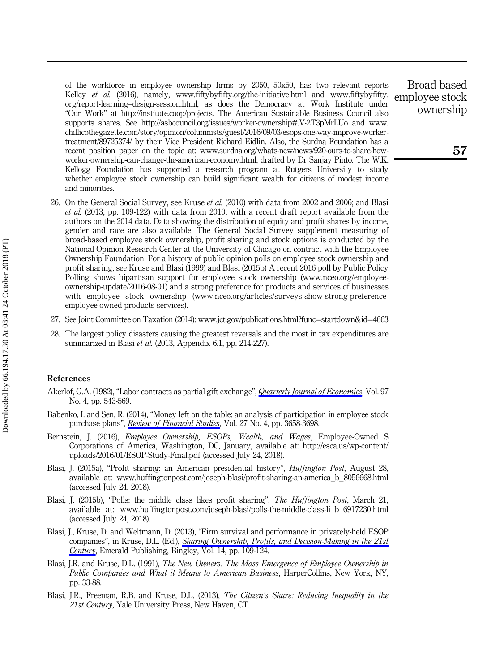of the workforce in employee ownership firms by 2050, 50x50, has two relevant reports Kelley et al. (2016), namely,<www.fiftybyfifty.org/the-initiative.html> and [www.fiftybyfifty.](www.fiftybyfifty.org/report-learning--design-session.html) org/report-learning–[design-session.html,](www.fiftybyfifty.org/report-learning--design-session.html) as does the Democracy at Work Institute under "Our Work" at<http://institute.coop/projects>. The American Sustainable Business Council also supports shares. See<http://asbcouncil.org/issues/worker-ownership#.V-2T3pMrLUo> and [www.](www.chillicothegazette.com/story/opinion/columnists/guest/2016/09/03/esops-one-way-improve-worker-treatment/89725374/) [chillicothegazette.com/story/opinion/columnists/guest/2016/09/03/esops-one-way-improve-worker](www.chillicothegazette.com/story/opinion/columnists/guest/2016/09/03/esops-one-way-improve-worker-treatment/89725374/)[treatment/89725374/](www.chillicothegazette.com/story/opinion/columnists/guest/2016/09/03/esops-one-way-improve-worker-treatment/89725374/) by their Vice President Richard Eidlin. Also, the Surdna Foundation has a recent position paper on the topic at: [www.surdna.org/whats-new/news/920-ours-to-share-how](www.surdna.org/whats-new/news/920-ours-to-share-how-worker-ownership-can-change-the-american-economy.html)[worker-ownership-can-change-the-american-economy.html,](www.surdna.org/whats-new/news/920-ours-to-share-how-worker-ownership-can-change-the-american-economy.html) drafted by Dr Sanjay Pinto. The W.K. Kellogg Foundation has supported a research program at Rutgers University to study whether employee stock ownership can build significant wealth for citizens of modest income and minorities.

- 26. On the General Social Survey, see Kruse et al. (2010) with data from 2002 and 2006; and Blasi *et al.* (2013, pp. 109-122) with data from 2010, with a recent draft report available from the authors on the 2014 data. Data showing the distribution of equity and profit shares by income, gender and race are also available. The General Social Survey supplement measuring of broad-based employee stock ownership, profit sharing and stock options is conducted by the National Opinion Research Center at the University of Chicago on contract with the Employee Ownership Foundation. For a history of public opinion polls on employee stock ownership and profit sharing, see Kruse and Blasi (1999) and Blasi (2015b) A recent 2016 poll by Public Policy Polling shows bipartisan support for employee stock ownership ([www.nceo.org/employee](www.nceo.org/employee-ownership-update/2016-08-01)[ownership-update/2016-08-01\)](www.nceo.org/employee-ownership-update/2016-08-01) and a strong preference for products and services of businesses with employee stock ownership [\(www.nceo.org/articles/surveys-show-strong-preference](www.nceo.org/articles/surveys-show-strong-preference-employee-owned-products-services)[employee-owned-products-services\)](www.nceo.org/articles/surveys-show-strong-preference-employee-owned-products-services).
- 27. See Joint Committee on Taxation (2014): [www.jct.gov/publications.html?func](www.jct.gov/publications.html?func=startdown&id=4663)=startdown&id=4663
- 28. The largest policy disasters causing the greatest reversals and the most in tax expenditures are summarized in Blasi et al. (2013, Appendix 6.1, pp. 214-227).

#### References

- Akerlof, G.A. (1982), "Labor contracts as partial gift exchange", [Quarterly Journal of Economics](https://www.emeraldinsight.com/action/showLinks?doi=10.1108%2FJPEO-02-2018-0001&crossref=10.2307%2F1885099&citationId=p_1), Vol. 97 No. 4, pp. 543-569.
- Babenko, I. and Sen, R. (2014), "Money left on the table: an analysis of participation in employee stock purchase plans", [Review of Financial Studies](https://www.emeraldinsight.com/action/showLinks?doi=10.1108%2FJPEO-02-2018-0001&crossref=10.1093%2Frfs%2Fhhu050&citationId=p_2), Vol. 27 No. 4, pp. 3658-3698.
- Bernstein, J. (2016), Employee Ownership, ESOPs, Wealth, and Wages, Employee-Owned S Corporations of America, Washington, DC, January, available at: [http://esca.us/wp-content/](http://esca.us/wp-content/uploads/2016/01/ESOP-Study-Final.pdf) [uploads/2016/01/ESOP-Study-Final.pdf](http://esca.us/wp-content/uploads/2016/01/ESOP-Study-Final.pdf) (accessed July 24, 2018).
- Blasi, J. (2015a), "Profit sharing: an American presidential history", Huffington Post, August 28, available at: [www.huffingtonpost.com/joseph-blasi/profit-sharing-an-america\\_b\\_8056668.html](www.huffingtonpost.com/joseph-blasi/profit-sharing-an-america_b_8056668.html) (accessed July 24, 2018).
- Blasi, J. (2015b), "Polls: the middle class likes profit sharing", The Huffington Post, March 21 available at: [www.huffingtonpost.com/joseph-blasi/polls-the-middle-class-li\\_b\\_6917230.html](www.huffingtonpost.com/joseph-blasi/polls-the-middle-class-li_b_6917230.html) (accessed July 24, 2018).
- Blasi, J., Kruse, D. and Weltmann, D. (2013), "Firm survival and performance in privately-held ESOP companies", in Kruse, D.L. (Ed.), [Sharing Ownership, Profits, and Decision-Making in the 21st](https://www.emeraldinsight.com/action/showLinks?doi=10.1108%2FJPEO-02-2018-0001&system=10.1108%2FS0885-3339%282013%290000014006&citationId=p_6) [Century](https://www.emeraldinsight.com/action/showLinks?doi=10.1108%2FJPEO-02-2018-0001&system=10.1108%2FS0885-3339%282013%290000014006&citationId=p_6), Emerald Publishing, Bingley, Vol. 14, pp. 109-124.
- Blasi, J.R. and Kruse, D.L. (1991), The New Owners: The Mass Emergence of Employee Ownership in Public Companies and What it Means to American Business, HarperCollins, New York, NY, pp. 33-88.
- Blasi, J.R., Freeman, R.B. and Kruse, D.L. (2013), The Citizen's Share: Reducing Inequality in the 21st Century, Yale University Press, New Haven, CT.

Broad-based employee stock ownership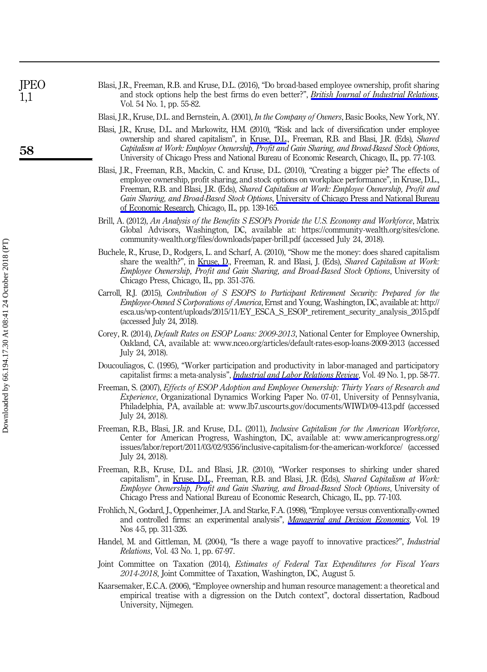Blasi, J.R., Freeman, R.B. and Kruse, D.L. (2016), "Do broad-based employee ownership, profit sharing and stock options help the best firms do even better?", [British Journal of Industrial Relations](https://www.emeraldinsight.com/action/showLinks?doi=10.1108%2FJPEO-02-2018-0001&crossref=10.1111%2Fbjir.12135&citationId=p_9), Vol. 54 No. 1, pp. 55-82.

Blasi, J.R., Kruse, D.L. and Bernstein, A. (2001), In the Company of Owners, Basic Books, New York, NY.

- Blasi, J.R., Kruse, D.L. and Markowitz, H.M. (2010), "Risk and lack of diversification under employee ownership and shared capitalism", in [Kruse, D.L.](https://www.emeraldinsight.com/action/showLinks?doi=10.1108%2FJPEO-02-2018-0001&crossref=10.7208%2Fchicago%2F9780226056968.003.0004&citationId=p_11), Freeman, R.B. and Blasi, J.R. (Eds), Shared Capitalism at Work: Employee Ownership, Profit and Gain Sharing, and Broad-Based Stock Options, University of Chicago Press and National Bureau of Economic Research, Chicago, IL, pp. 77-103.
- Blasi, J.R., Freeman, R.B., Mackin, C. and Kruse, D.L. (2010), "Creating a bigger pie? The effects of employee ownership, profit sharing, and stock options on workplace performance", in Kruse, D.L., Freeman, R.B. and Blasi, J.R. (Eds), Shared Capitalism at Work: Employee Ownership, Profit and Gain Sharing, and Broad-Based Stock Options, [University of Chicago Press and National Bureau](https://www.emeraldinsight.com/action/showLinks?doi=10.1108%2FJPEO-02-2018-0001&crossref=10.7208%2Fchicago%2F9780226056968.003.0005&citationId=p_12) [of Economic Research](https://www.emeraldinsight.com/action/showLinks?doi=10.1108%2FJPEO-02-2018-0001&crossref=10.7208%2Fchicago%2F9780226056968.003.0005&citationId=p_12), Chicago, IL, pp. 139-165.
- Brill, A. (2012), An Analysis of the Benefits S ESOPs Provide the U.S. Economy and Workforce, Matrix Global Advisors, Washington, DC, available at: [https://community-wealth.org/sites/clone.](https://community-wealth.org/sites/clone.community-wealth.org/files/downloads/paper-brill.pdf) [community-wealth.org/files/downloads/paper-brill.pdf](https://community-wealth.org/sites/clone.community-wealth.org/files/downloads/paper-brill.pdf) (accessed July 24, 2018).
- Buchele, R., Kruse, D., Rodgers, L. and Scharf, A. (2010), "Show me the money: does shared capitalism share the wealth?", in [Kruse, D.](https://www.emeraldinsight.com/action/showLinks?doi=10.1108%2FJPEO-02-2018-0001&crossref=10.7208%2Fchicago%2F9780226056968.003.0012&citationId=p_14), Freeman, R. and Blasi, J. (Eds), Shared Capitalism at Work: Employee Ownership, Profit and Gain Sharing, and Broad-Based Stock Options, University of Chicago Press, Chicago, IL, pp. 351-376.
- Carroll, R.J. (2015), Contribution of S ESOPS to Participant Retirement Security: Prepared for the Employee-Owned S Corporations of America, Ernst and Young, Washington, DC, available at: [http://](http://esca.us/wp-content/uploads/2015/11/EY_ESCA_S_ESOP_retirement_security_analysis_2015.pdf) [esca.us/wp-content/uploads/2015/11/EY\\_ESCA\\_S\\_ESOP\\_retirement\\_security\\_analysis\\_2015.pdf](http://esca.us/wp-content/uploads/2015/11/EY_ESCA_S_ESOP_retirement_security_analysis_2015.pdf) (accessed July 24, 2018).
- Corey, R. (2014), Default Rates on ESOP Loans: 2009-2013, National Center for Employee Ownership, Oakland, CA, available at:<www.nceo.org/articles/default-rates-esop-loans-2009-2013> (accessed July 24, 2018).
- Doucouliagos, C. (1995), "Worker participation and productivity in labor-managed and participatory capitalist firms: a meta-analysis", *[Industrial and Labor Relations Review](https://www.emeraldinsight.com/action/showLinks?doi=10.1108%2FJPEO-02-2018-0001&crossref=10.1177%2F001979399504900104&citationId=p_17)*, Vol. 49 No. 1, pp. 58-77.
- Freeman, S. (2007), Effects of ESOP Adoption and Employee Ownership: Thirty Years of Research and Experience, Organizational Dynamics Working Paper No. 07-01, University of Pennsylvania, Philadelphia, PA, available at:<www.lb7.uscourts.gov/documents/WIWD/09-413.pdf> (accessed July 24, 2018).
- Freeman, R.B., Blasi, J.R. and Kruse, D.L. (2011), Inclusive Capitalism for the American Workforce, Center for American Progress, Washington, DC, available at: [www.americanprogress.org/](www.americanprogress.org/issues/labor/report/2011/03/02/9356/inclusive-capitalism-for-the-american-workforce/) [issues/labor/report/2011/03/02/9356/inclusive-capitalism-for-the-american-workforce/](www.americanprogress.org/issues/labor/report/2011/03/02/9356/inclusive-capitalism-for-the-american-workforce/) (accessed July 24, 2018).
- Freeman, R.B., Kruse, D.L. and Blasi, J.R. (2010), "Worker responses to shirking under shared capitalism", in [Kruse, D.L.](https://www.emeraldinsight.com/action/showLinks?doi=10.1108%2FJPEO-02-2018-0001&crossref=10.7208%2Fchicago%2F9780226056968.003.0003&citationId=p_20), Freeman, R.B. and Blasi, J.R. (Eds), Shared Capitalism at Work: Employee Ownership, Profit and Gain Sharing, and Broad-Based Stock Options, University of Chicago Press and National Bureau of Economic Research, Chicago, IL, pp. 77-103.
- Frohlich, N., Godard, J., Oppenheimer, J.A. and Starke, F.A. (1998), "Employee versus conventionally-owned and controlled firms: an experimental analysis", *[Managerial and Decision Economics](https://www.emeraldinsight.com/action/showLinks?doi=10.1108%2FJPEO-02-2018-0001&crossref=10.1002%2F%28SICI%291099-1468%28199806%2F08%2919%3A4%2F5%3C311%3A%3AAID-MDE893%3E3.0.CO%3B2-I&citationId=p_21)*, Vol. 19 Nos 4-5, pp. 311-326.
- Handel, M. and Gittleman, M. (2004), "Is there a wage payoff to innovative practices?", *Industrial* Relations, Vol. 43 No. 1, pp. 67-97.
- Joint Committee on Taxation (2014), *Estimates of Federal Tax Expenditures for Fiscal Years* 2014-2018, Joint Committee of Taxation, Washington, DC, August 5.
- Kaarsemaker, E.C.A. (2006), "Employee ownership and human resource management: a theoretical and empirical treatise with a digression on the Dutch context", doctoral dissertation, Radboud University, Nijmegen.

**IPEO** 1,1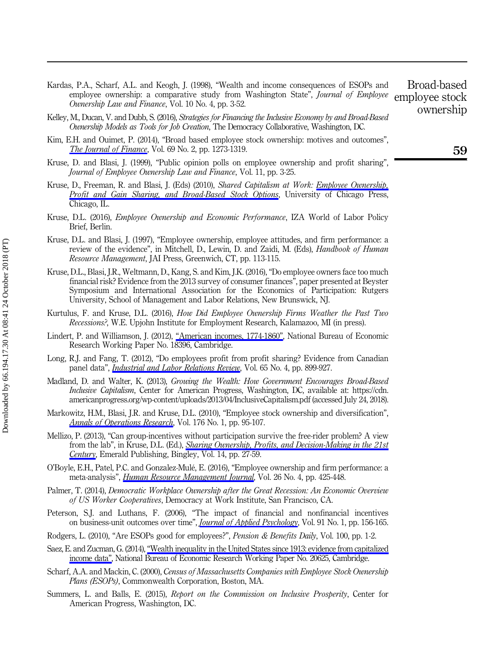- Kardas, P.A., Scharf, A.L. and Keogh, J. (1998), "Wealth and income consequences of ESOPs and employee ownership: a comparative study from Washington State", *Journal of Employee* Ownership Law and Finance, Vol. 10 No. 4, pp. 3-52. Broad-based employee stock
- Kelley, M., Ducan, V. and Dubb, S. (2016), Strategies for Financing the Inclusive Economy by and Broad-Based Ownership Models as Tools for Job Creation, The Democracy Collaborative, Washington, DC.
- Kim, E.H. and Ouimet, P. (2014), "Broad based employee stock ownership: motives and outcomes", [The Journal of Finance](https://www.emeraldinsight.com/action/showLinks?doi=10.1108%2FJPEO-02-2018-0001&crossref=10.1111%2Fjofi.12150&citationId=p_27), Vol. 69 No. 2, pp. 1273-1319.
- Kruse, D. and Blasi, J. (1999), "Public opinion polls on employee ownership and profit sharing", Journal of Employee Ownership Law and Finance, Vol. 11, pp. 3-25.
- Kruse, D., Freeman, R. and Blasi, J. (Eds) (2010), Shared Capitalism at Work: [Employee Ownership,](https://www.emeraldinsight.com/action/showLinks?doi=10.1108%2FJPEO-02-2018-0001&crossref=10.7208%2Fchicago%2F9780226056968.001.0001&citationId=p_29) [Profit and Gain Sharing, and Broad-Based Stock Options](https://www.emeraldinsight.com/action/showLinks?doi=10.1108%2FJPEO-02-2018-0001&crossref=10.7208%2Fchicago%2F9780226056968.001.0001&citationId=p_29), University of Chicago Press, Chicago, IL.
- Kruse, D.L. (2016), Employee Ownership and Economic Performance, IZA World of Labor Policy Brief, Berlin.
- Kruse, D.L. and Blasi, J. (1997), "Employee ownership, employee attitudes, and firm performance: a review of the evidence", in Mitchell, D., Lewin, D. and Zaidi, M. (Eds), *Handbook of Human* Resource Management, JAI Press, Greenwich, CT, pp. 113-115.
- Kruse, D.L., Blasi, J.R., Weltmann, D., Kang, S. and Kim, J.K. (2016), "Do employee owners face too much financial risk? Evidence from the 2013 survey of consumer finances", paper presented at Beyster Symposium and International Association for the Economics of Participation: Rutgers University, School of Management and Labor Relations, New Brunswick, NJ.
- Kurtulus, F. and Kruse, D.L. (2016), How Did Employee Ownership Firms Weather the Past Two Recessions?, W.E. Upjohn Institute for Employment Research, Kalamazoo, MI (in press).
- Lindert, P. and Williamson, J. (2012), "[American incomes, 1774-1860](https://www.emeraldinsight.com/action/showLinks?doi=10.1108%2FJPEO-02-2018-0001&crossref=10.3386%2Fw18396&citationId=p_34)", National Bureau of Economic Research Working Paper No. 18396, Cambridge.
- Long, R.J. and Fang, T. (2012), "Do employees profit from profit sharing? Evidence from Canadian panel data", *[Industrial and Labor Relations Review](https://www.emeraldinsight.com/action/showLinks?doi=10.1108%2FJPEO-02-2018-0001&crossref=10.1177%2F001979391206500406&citationId=p_35)*, Vol. 65 No. 4, pp. 899-927.
- Madland, D. and Walter, K. (2013), Growing the Wealth: How Government Encourages Broad-Based Inclusive Capitalism, Center for American Progress, Washington, DC, available at: [https://cdn.](https://cdn.americanprogress.org/wp-content/uploads/2013/04/InclusiveCapitalism.pdf) [americanprogress.org/wp-content/uploads/2013/04/InclusiveCapitalism.pdf](https://cdn.americanprogress.org/wp-content/uploads/2013/04/InclusiveCapitalism.pdf) (accessed July 24, 2018).
- Markowitz, H.M., Blasi, J.R. and Kruse, D.L. (2010), "Employee stock ownership and diversification", [Annals of Operations Research](https://www.emeraldinsight.com/action/showLinks?doi=10.1108%2FJPEO-02-2018-0001&crossref=10.1007%2Fs10479-009-0544-1&citationId=p_37), Vol. 176 No. 1, pp. 95-107.
- Mellizo, P. (2013), "Can group-incentives without participation survive the free-rider problem? A view from the lab", in Kruse, D.L. (Ed.), [Sharing Ownership, Profits, and Decision-Making in the 21st](https://www.emeraldinsight.com/action/showLinks?doi=10.1108%2FJPEO-02-2018-0001&system=10.1108%2FS0885-3339%282013%290000014003&citationId=p_38) [Century](https://www.emeraldinsight.com/action/showLinks?doi=10.1108%2FJPEO-02-2018-0001&system=10.1108%2FS0885-3339%282013%290000014003&citationId=p_38), Emerald Publishing, Bingley, Vol. 14, pp. 27-59.
- O'Boyle, E.H., Patel, P.C. and Gonzalez-Mulé, E. (2016), "Employee ownership and firm performance: a meta-analysis", *[Human Resource Management Journal](https://www.emeraldinsight.com/action/showLinks?doi=10.1108%2FJPEO-02-2018-0001&crossref=10.1111%2F1748-8583.12115&citationId=p_39)*, Vol. 26 No. 4, pp. 425-448.
- Palmer, T. (2014), Democratic Workplace Ownership after the Great Recession: An Economic Overview of US Worker Cooperatives, Democracy at Work Institute, San Francisco, CA.
- Peterson, S.J. and Luthans, F. (2006), "The impact of financial and nonfinancial incentives on business-unit outcomes over time", *[Journal of Applied Psychology](https://www.emeraldinsight.com/action/showLinks?doi=10.1108%2FJPEO-02-2018-0001&crossref=10.1037%2F0021-9010.91.1.156&citationId=p_41)*, Vol. 91 No. 1, pp. 156-165.
- Rodgers, L. (2010), "Are ESOPs good for employees?", Pension & Benefits Daily, Vol. 100, pp. 1-2.
- Saez, E. and Zucman, G. (2014), "[Wealth inequality in the United States](https://www.emeraldinsight.com/action/showLinks?doi=10.1108%2FJPEO-02-2018-0001&crossref=10.3386%2Fw20625&citationId=p_43) since 1913: evidence from capitalized [income data](https://www.emeraldinsight.com/action/showLinks?doi=10.1108%2FJPEO-02-2018-0001&crossref=10.3386%2Fw20625&citationId=p_43)", National Bureau of Economic Research Working Paper No. 20625, Cambridge.
- Scharf, A.A. and Mackin, C. (2000), Census of Massachusetts Companies with Employee Stock Ownership Plans (ESOPs), Commonwealth Corporation, Boston, MA.
- Summers, L. and Balls, E. (2015), *Report on the Commission on Inclusive Prosperity*, Center for American Progress, Washington, DC.

59

ownership